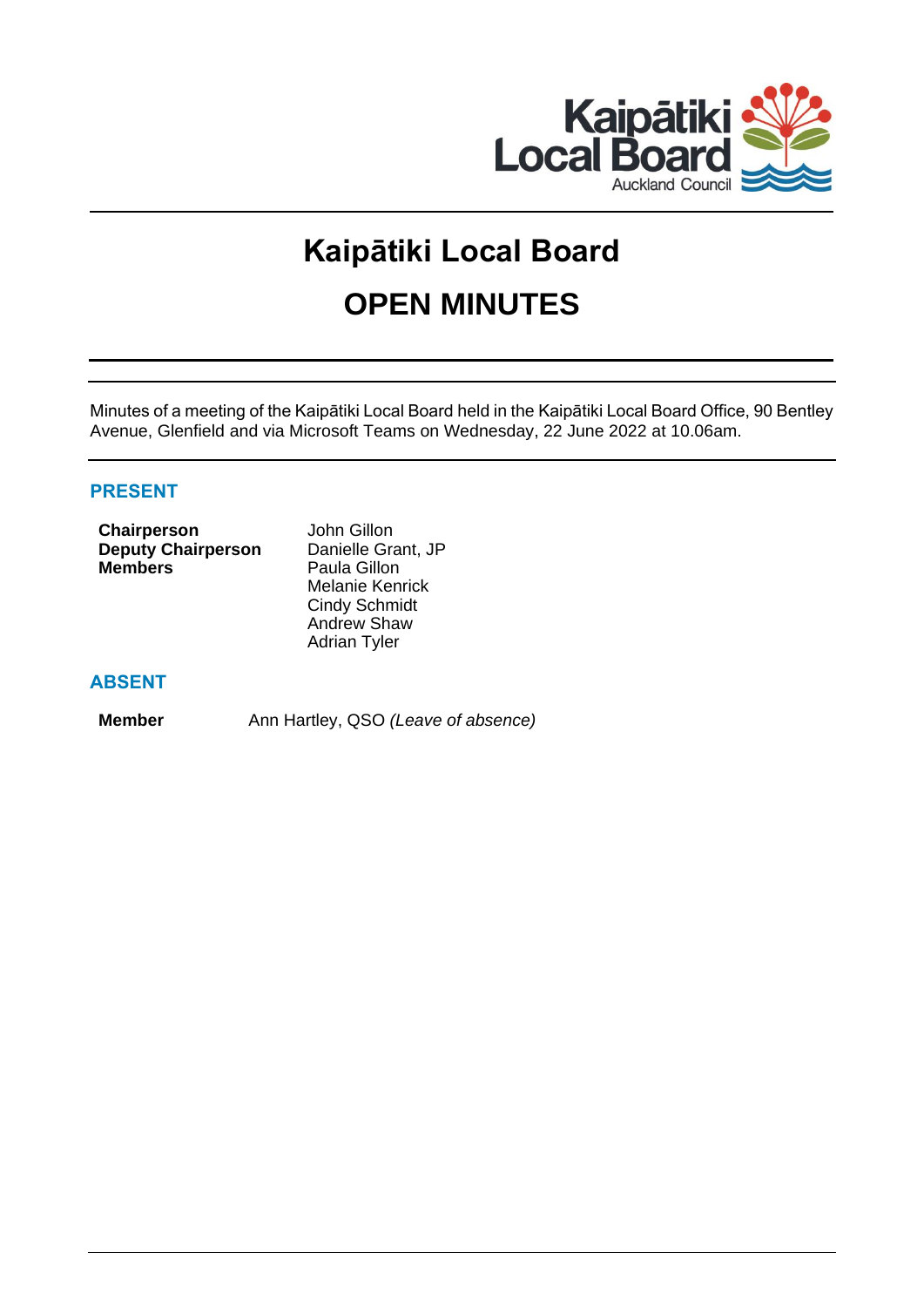

# **Kaipātiki Local Board OPEN MINUTES**

Minutes of a meeting of the Kaipātiki Local Board held in the Kaipātiki Local Board Office, 90 Bentley Avenue, Glenfield and via Microsoft Teams on Wednesday, 22 June 2022 at 10.06am.

# **PRESENT**

| <b>Chairperson</b>        | John Gillon            |
|---------------------------|------------------------|
| <b>Deputy Chairperson</b> | Danielle Grant, JP     |
| <b>Members</b>            | Paula Gillon           |
|                           | <b>Melanie Kenrick</b> |
|                           | <b>Cindy Schmidt</b>   |
|                           | <b>Andrew Shaw</b>     |
|                           | <b>Adrian Tyler</b>    |

# **ABSENT**

**Member** Ann Hartley, QSO *(Leave of absence)*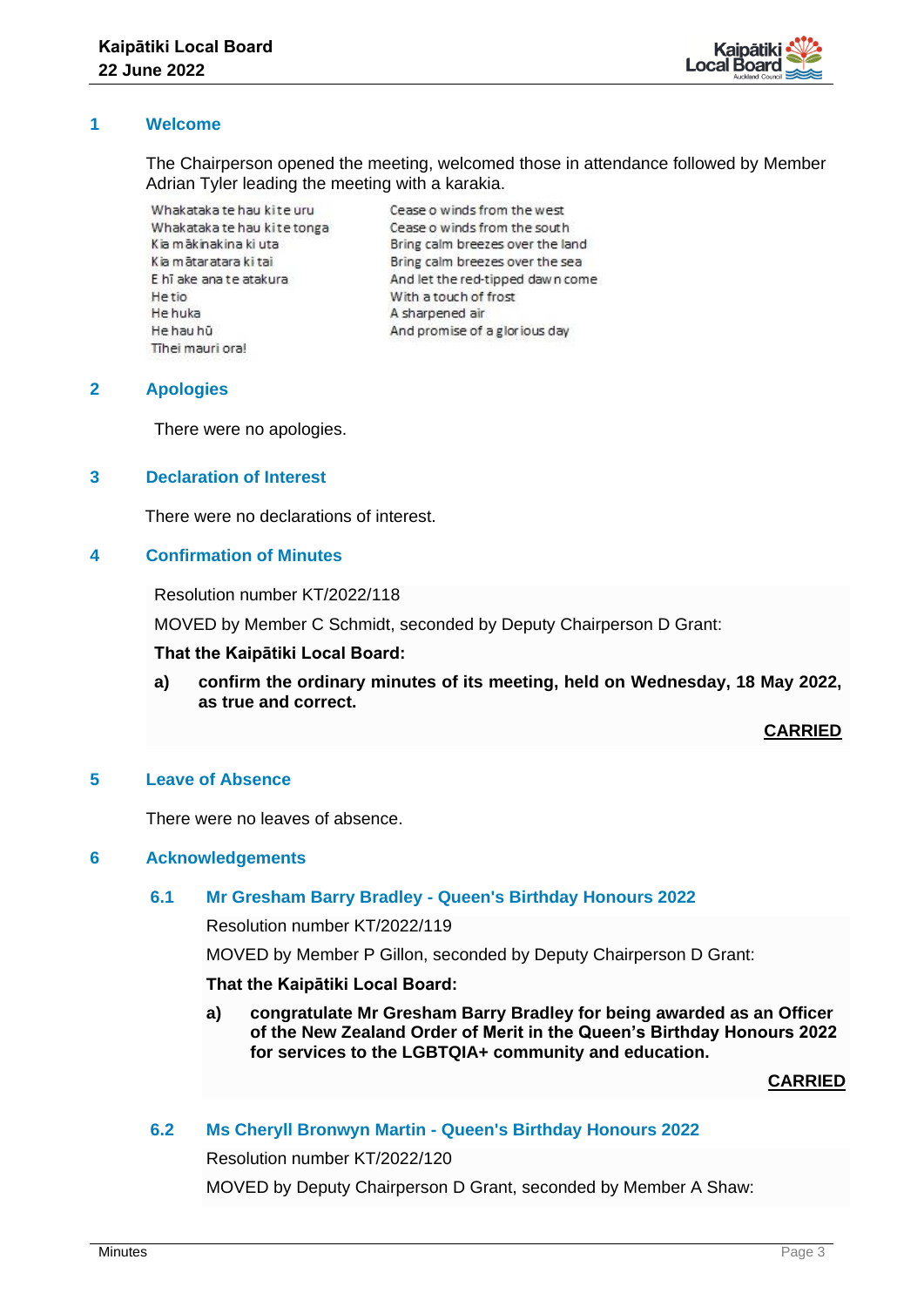

## **1 Welcome**

The Chairperson opened the meeting, welcomed those in attendance followed by Member Adrian Tyler leading the meeting with a karakia.

Whakataka te hau kite uru Whakataka te hau kite tonga Kia mākinakina ki uta Kia mātaratara ki tai E hī ake ana te atakura Hetio He huka He hau hū Tihei mauri ora!

Cease o winds from the west Cease o winds from the south Bring calm breezes over the land Bring calm breezes over the sea And let the red-tipped dawn come With a touch of frost A sharpened air And promise of a glorious day

#### **2 Apologies**

There were no apologies.

## **3 Declaration of Interest**

There were no declarations of interest.

## **4 Confirmation of Minutes**

Resolution number KT/2022/118

MOVED by Member C Schmidt, seconded by Deputy Chairperson D Grant:

#### **That the Kaipātiki Local Board:**

**a) confirm the ordinary minutes of its meeting, held on Wednesday, 18 May 2022, as true and correct.**

**CARRIED**

#### **5 Leave of Absence**

There were no leaves of absence.

#### **6 Acknowledgements**

#### **6.1 Mr Gresham Barry Bradley - Queen's Birthday Honours 2022**

Resolution number KT/2022/119

MOVED by Member P Gillon, seconded by Deputy Chairperson D Grant:

#### **That the Kaipātiki Local Board:**

**a) congratulate Mr Gresham Barry Bradley for being awarded as an Officer of the New Zealand Order of Merit in the Queen's Birthday Honours 2022 for services to the LGBTQIA+ community and education.** 

**CARRIED**

# **6.2 Ms Cheryll Bronwyn Martin - Queen's Birthday Honours 2022**

Resolution number KT/2022/120

MOVED by Deputy Chairperson D Grant, seconded by Member A Shaw: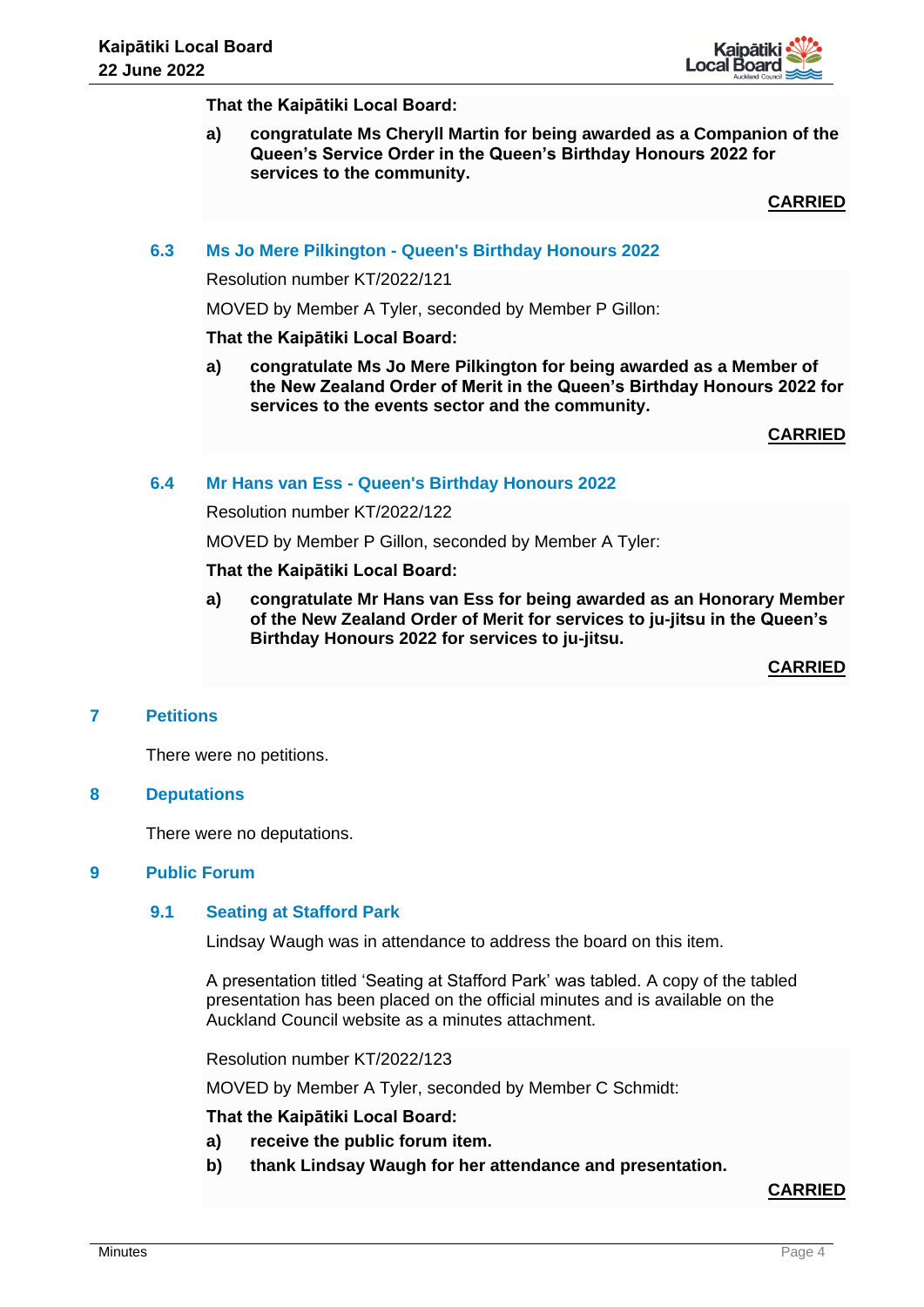

**That the Kaipātiki Local Board:**

**a) congratulate Ms Cheryll Martin for being awarded as a Companion of the Queen's Service Order in the Queen's Birthday Honours 2022 for services to the community.** 

**CARRIED**

#### **6.3 Ms Jo Mere Pilkington - Queen's Birthday Honours 2022**

Resolution number KT/2022/121

MOVED by Member A Tyler, seconded by Member P Gillon:

#### **That the Kaipātiki Local Board:**

**a) congratulate Ms Jo Mere Pilkington for being awarded as a Member of the New Zealand Order of Merit in the Queen's Birthday Honours 2022 for services to the events sector and the community.** 

**CARRIED**

## **6.4 Mr Hans van Ess - Queen's Birthday Honours 2022**

Resolution number KT/2022/122

MOVED by Member P Gillon, seconded by Member A Tyler:

#### **That the Kaipātiki Local Board:**

**a) congratulate Mr Hans van Ess for being awarded as an Honorary Member of the New Zealand Order of Merit for services to ju-jitsu in the Queen's Birthday Honours 2022 for services to ju-jitsu.** 

**CARRIED**

#### **7 Petitions**

There were no petitions.

#### **8 Deputations**

There were no deputations.

#### **9 Public Forum**

#### **9.1 Seating at Stafford Park**

Lindsay Waugh was in attendance to address the board on this item.

A presentation titled 'Seating at Stafford Park' was tabled. A copy of the tabled presentation has been placed on the official minutes and is available on the Auckland Council website as a minutes attachment.

Resolution number KT/2022/123

MOVED by Member A Tyler, seconded by Member C Schmidt:

**That the Kaipātiki Local Board:**

- **a) receive the public forum item.**
- **b) thank Lindsay Waugh for her attendance and presentation.**

## **CARRIED**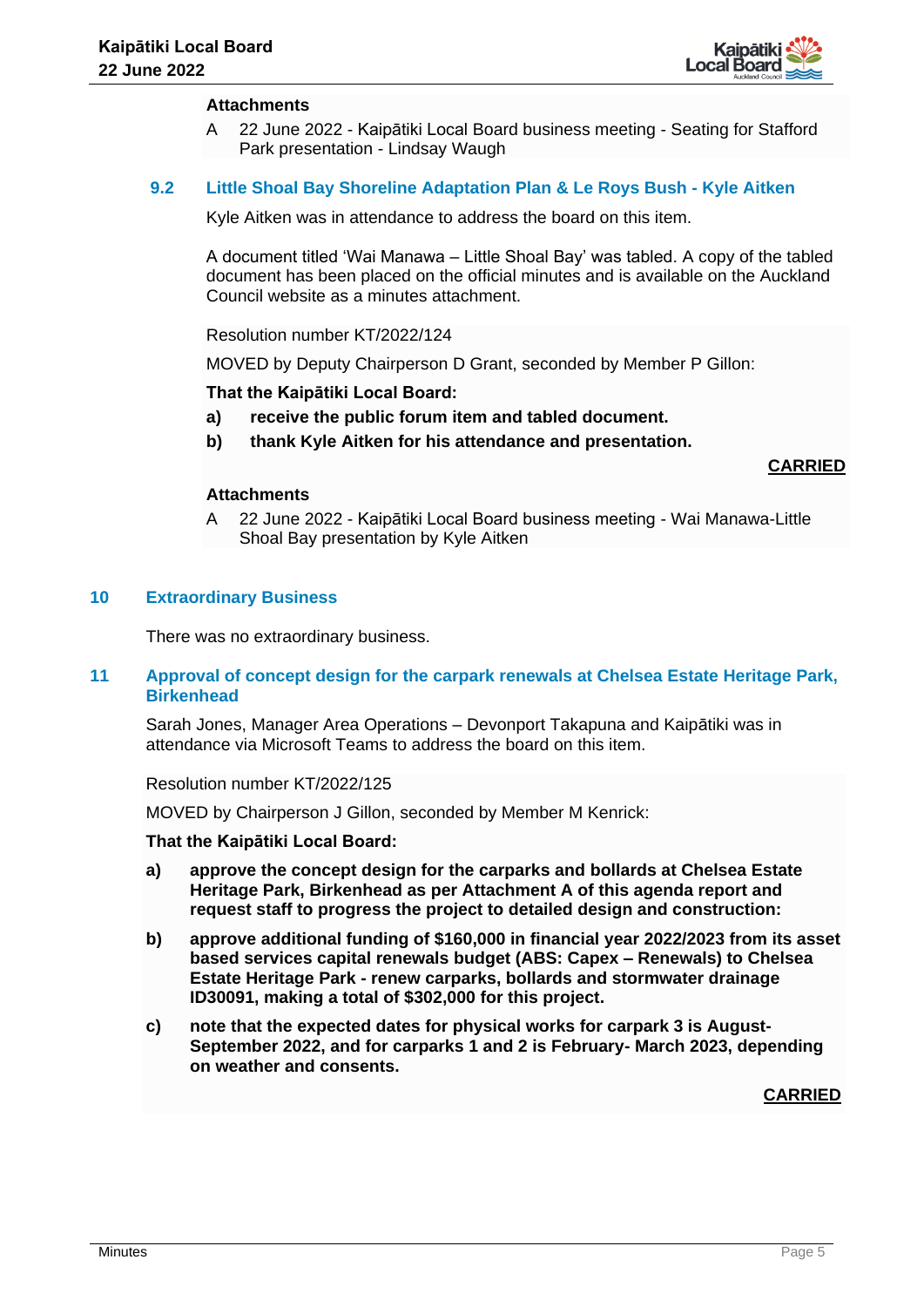

#### **Attachments**

A 22 June 2022 - Kaipātiki Local Board business meeting - Seating for Stafford Park presentation - Lindsay Waugh

## **9.2 Little Shoal Bay Shoreline Adaptation Plan & Le Roys Bush - Kyle Aitken**

Kyle Aitken was in attendance to address the board on this item.

A document titled 'Wai Manawa – Little Shoal Bay' was tabled. A copy of the tabled document has been placed on the official minutes and is available on the Auckland Council website as a minutes attachment.

Resolution number KT/2022/124

MOVED by Deputy Chairperson D Grant, seconded by Member P Gillon:

#### **That the Kaipātiki Local Board:**

- **a) receive the public forum item and tabled document.**
- **b) thank Kyle Aitken for his attendance and presentation.**

#### **CARRIED**

#### **Attachments**

A 22 June 2022 - Kaipātiki Local Board business meeting - Wai Manawa-Little Shoal Bay presentation by Kyle Aitken

#### **10 Extraordinary Business**

There was no extraordinary business.

## **11 Approval of concept design for the carpark renewals at Chelsea Estate Heritage Park, Birkenhead**

Sarah Jones, Manager Area Operations – Devonport Takapuna and Kaipātiki was in attendance via Microsoft Teams to address the board on this item.

#### Resolution number KT/2022/125

MOVED by Chairperson J Gillon, seconded by Member M Kenrick:

**That the Kaipātiki Local Board:**

- **a) approve the concept design for the carparks and bollards at Chelsea Estate Heritage Park, Birkenhead as per Attachment A of this agenda report and request staff to progress the project to detailed design and construction:**
- **b) approve additional funding of \$160,000 in financial year 2022/2023 from its asset based services capital renewals budget (ABS: Capex – Renewals) to Chelsea Estate Heritage Park - renew carparks, bollards and stormwater drainage ID30091, making a total of \$302,000 for this project.**
- **c) note that the expected dates for physical works for carpark 3 is August-September 2022, and for carparks 1 and 2 is February- March 2023, depending on weather and consents.**

**CARRIED**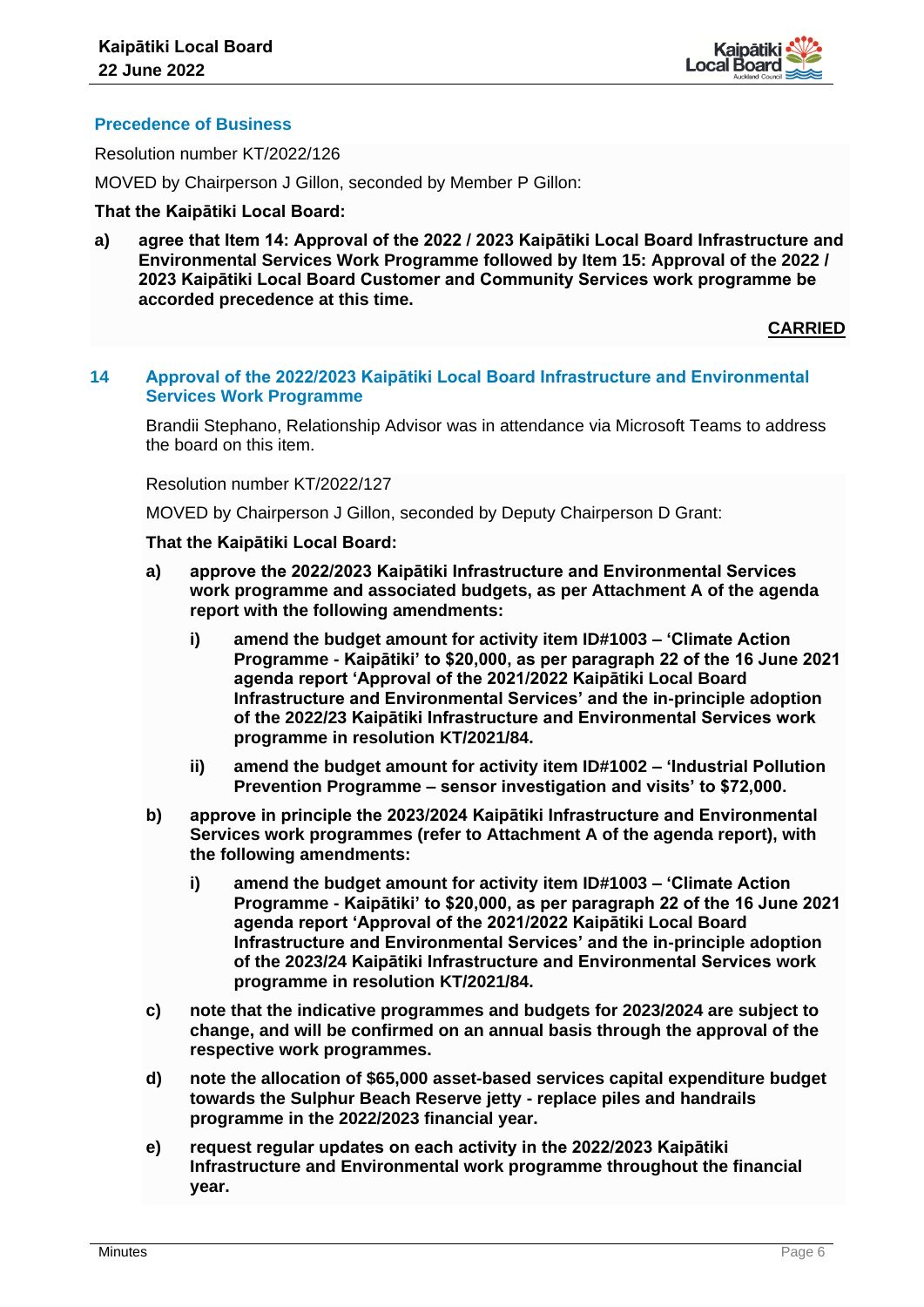

# **Precedence of Business**

Resolution number KT/2022/126

MOVED by Chairperson J Gillon, seconded by Member P Gillon:

## **That the Kaipātiki Local Board:**

**a) agree that Item 14: Approval of the 2022 / 2023 Kaipātiki Local Board Infrastructure and Environmental Services Work Programme followed by Item 15: Approval of the 2022 / 2023 Kaipātiki Local Board Customer and Community Services work programme be accorded precedence at this time.**

**CARRIED**

## **14 Approval of the 2022/2023 Kaipātiki Local Board Infrastructure and Environmental Services Work Programme**

Brandii Stephano, Relationship Advisor was in attendance via Microsoft Teams to address the board on this item.

Resolution number KT/2022/127

MOVED by Chairperson J Gillon, seconded by Deputy Chairperson D Grant:

- **a) approve the 2022/2023 Kaipātiki Infrastructure and Environmental Services work programme and associated budgets, as per Attachment A of the agenda report with the following amendments:**
	- **i) amend the budget amount for activity item ID#1003 – 'Climate Action Programme - Kaipātiki' to \$20,000, as per paragraph 22 of the 16 June 2021 agenda report 'Approval of the 2021/2022 Kaipātiki Local Board Infrastructure and Environmental Services' and the in-principle adoption of the 2022/23 Kaipātiki Infrastructure and Environmental Services work programme in resolution KT/2021/84.**
	- **ii) amend the budget amount for activity item ID#1002 – 'Industrial Pollution Prevention Programme – sensor investigation and visits' to \$72,000.**
- **b) approve in principle the 2023/2024 Kaipātiki Infrastructure and Environmental Services work programmes (refer to Attachment A of the agenda report), with the following amendments:**
	- **i) amend the budget amount for activity item ID#1003 – 'Climate Action Programme - Kaipātiki' to \$20,000, as per paragraph 22 of the 16 June 2021 agenda report 'Approval of the 2021/2022 Kaipātiki Local Board Infrastructure and Environmental Services' and the in-principle adoption of the 2023/24 Kaipātiki Infrastructure and Environmental Services work programme in resolution KT/2021/84.**
- **c) note that the indicative programmes and budgets for 2023/2024 are subject to change, and will be confirmed on an annual basis through the approval of the respective work programmes.**
- **d) note the allocation of \$65,000 asset-based services capital expenditure budget towards the Sulphur Beach Reserve jetty - replace piles and handrails programme in the 2022/2023 financial year.**
- **e) request regular updates on each activity in the 2022/2023 Kaipātiki Infrastructure and Environmental work programme throughout the financial year.**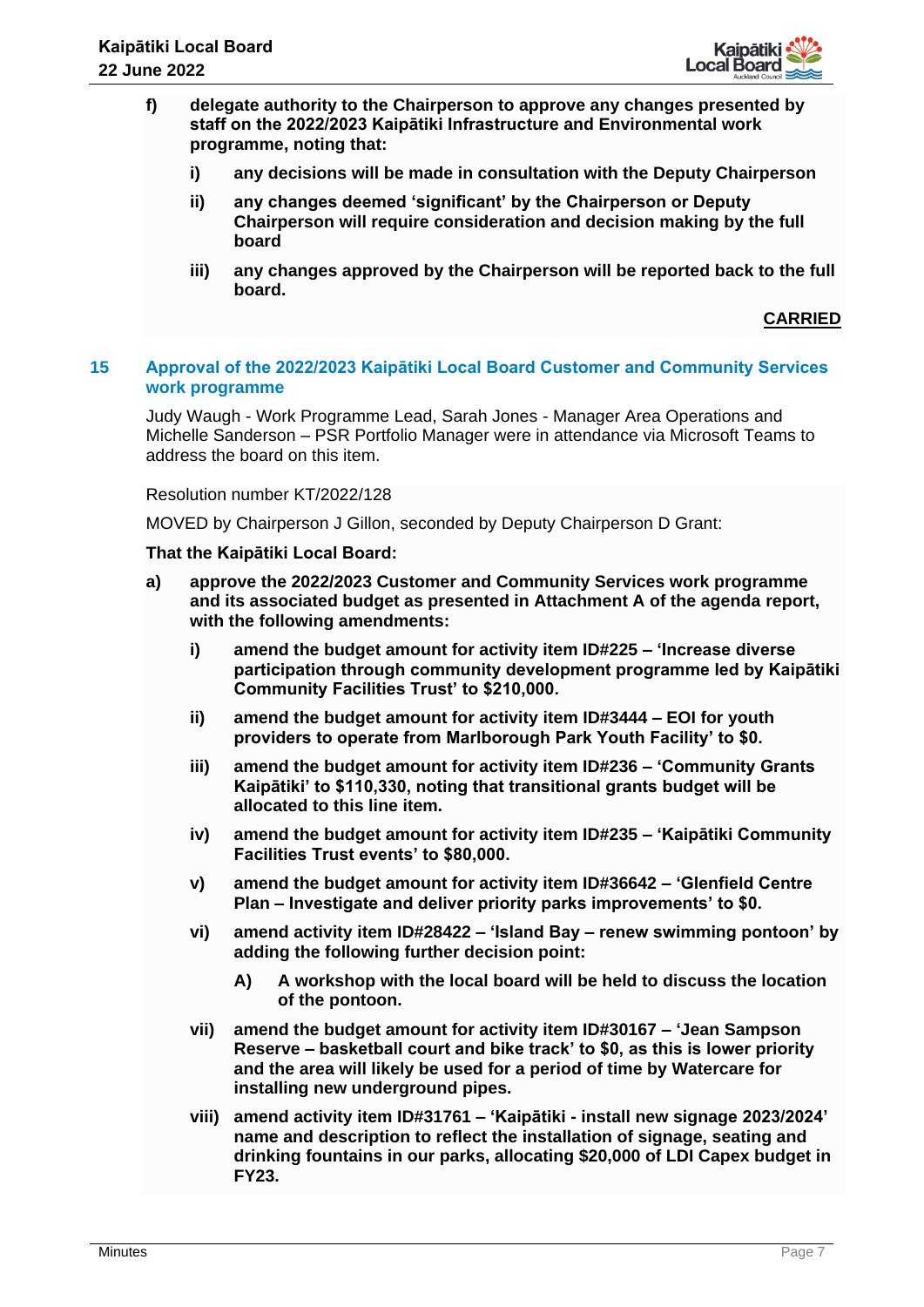

- **f) delegate authority to the Chairperson to approve any changes presented by staff on the 2022/2023 Kaipātiki Infrastructure and Environmental work programme, noting that:**
	- **i) any decisions will be made in consultation with the Deputy Chairperson**
	- **ii) any changes deemed 'significant' by the Chairperson or Deputy Chairperson will require consideration and decision making by the full board**
	- **iii) any changes approved by the Chairperson will be reported back to the full board.**

## **15 Approval of the 2022/2023 Kaipātiki Local Board Customer and Community Services work programme**

Judy Waugh - Work Programme Lead, Sarah Jones - Manager Area Operations and Michelle Sanderson – PSR Portfolio Manager were in attendance via Microsoft Teams to address the board on this item.

#### Resolution number KT/2022/128

MOVED by Chairperson J Gillon, seconded by Deputy Chairperson D Grant:

- **a) approve the 2022/2023 Customer and Community Services work programme and its associated budget as presented in Attachment A of the agenda report, with the following amendments:**
	- **i) amend the budget amount for activity item ID#225 – 'Increase diverse participation through community development programme led by Kaipātiki Community Facilities Trust' to \$210,000.**
	- **ii) amend the budget amount for activity item ID#3444 – EOI for youth providers to operate from Marlborough Park Youth Facility' to \$0.**
	- **iii) amend the budget amount for activity item ID#236 – 'Community Grants Kaipātiki' to \$110,330, noting that transitional grants budget will be allocated to this line item.**
	- **iv) amend the budget amount for activity item ID#235 – 'Kaipātiki Community Facilities Trust events' to \$80,000.**
	- **v) amend the budget amount for activity item ID#36642 – 'Glenfield Centre Plan – Investigate and deliver priority parks improvements' to \$0.**
	- **vi) amend activity item ID#28422 – 'Island Bay – renew swimming pontoon' by adding the following further decision point:**
		- **A) A workshop with the local board will be held to discuss the location of the pontoon.**
	- **vii) amend the budget amount for activity item ID#30167 – 'Jean Sampson Reserve – basketball court and bike track' to \$0, as this is lower priority and the area will likely be used for a period of time by Watercare for installing new underground pipes.**
	- **viii) amend activity item ID#31761 – 'Kaipātiki - install new signage 2023/2024' name and description to reflect the installation of signage, seating and drinking fountains in our parks, allocating \$20,000 of LDI Capex budget in FY23.**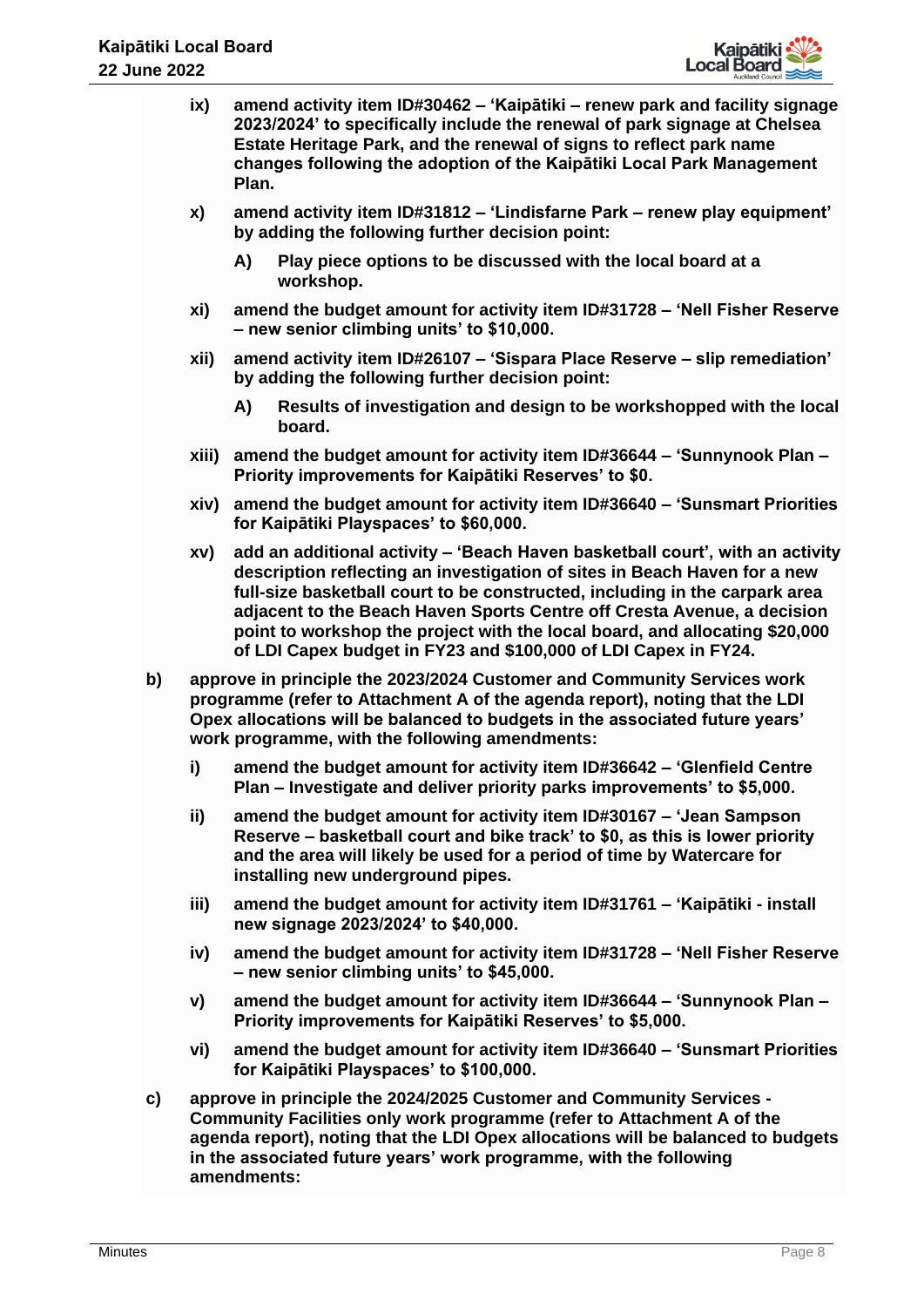

- **ix) amend activity item ID#30462 – 'Kaipātiki – renew park and facility signage 2023/2024' to specifically include the renewal of park signage at Chelsea Estate Heritage Park, and the renewal of signs to reflect park name changes following the adoption of the Kaipātiki Local Park Management Plan.**
- **x) amend activity item ID#31812 – 'Lindisfarne Park – renew play equipment' by adding the following further decision point:**
	- **A) Play piece options to be discussed with the local board at a workshop.**
- **xi) amend the budget amount for activity item ID#31728 – 'Nell Fisher Reserve – new senior climbing units' to \$10,000.**
- **xii) amend activity item ID#26107 – 'Sispara Place Reserve – slip remediation' by adding the following further decision point:**
	- **A) Results of investigation and design to be workshopped with the local board.**
- **xiii) amend the budget amount for activity item ID#36644 – 'Sunnynook Plan – Priority improvements for Kaipātiki Reserves' to \$0.**
- **xiv) amend the budget amount for activity item ID#36640 – 'Sunsmart Priorities for Kaipātiki Playspaces' to \$60,000.**
- **xv) add an additional activity – 'Beach Haven basketball court', with an activity description reflecting an investigation of sites in Beach Haven for a new full-size basketball court to be constructed, including in the carpark area adjacent to the Beach Haven Sports Centre off Cresta Avenue, a decision point to workshop the project with the local board, and allocating \$20,000 of LDI Capex budget in FY23 and \$100,000 of LDI Capex in FY24.**
- **b) approve in principle the 2023/2024 Customer and Community Services work programme (refer to Attachment A of the agenda report), noting that the LDI Opex allocations will be balanced to budgets in the associated future years' work programme, with the following amendments:**
	- **i) amend the budget amount for activity item ID#36642 – 'Glenfield Centre Plan – Investigate and deliver priority parks improvements' to \$5,000.**
	- **ii) amend the budget amount for activity item ID#30167 – 'Jean Sampson Reserve – basketball court and bike track' to \$0, as this is lower priority and the area will likely be used for a period of time by Watercare for installing new underground pipes.**
	- **iii) amend the budget amount for activity item ID#31761 – 'Kaipātiki - install new signage 2023/2024' to \$40,000.**
	- **iv) amend the budget amount for activity item ID#31728 – 'Nell Fisher Reserve – new senior climbing units' to \$45,000.**
	- **v) amend the budget amount for activity item ID#36644 – 'Sunnynook Plan – Priority improvements for Kaipātiki Reserves' to \$5,000.**
	- **vi) amend the budget amount for activity item ID#36640 – 'Sunsmart Priorities for Kaipātiki Playspaces' to \$100,000.**
- **c) approve in principle the 2024/2025 Customer and Community Services - Community Facilities only work programme (refer to Attachment A of the agenda report), noting that the LDI Opex allocations will be balanced to budgets in the associated future years' work programme, with the following amendments:**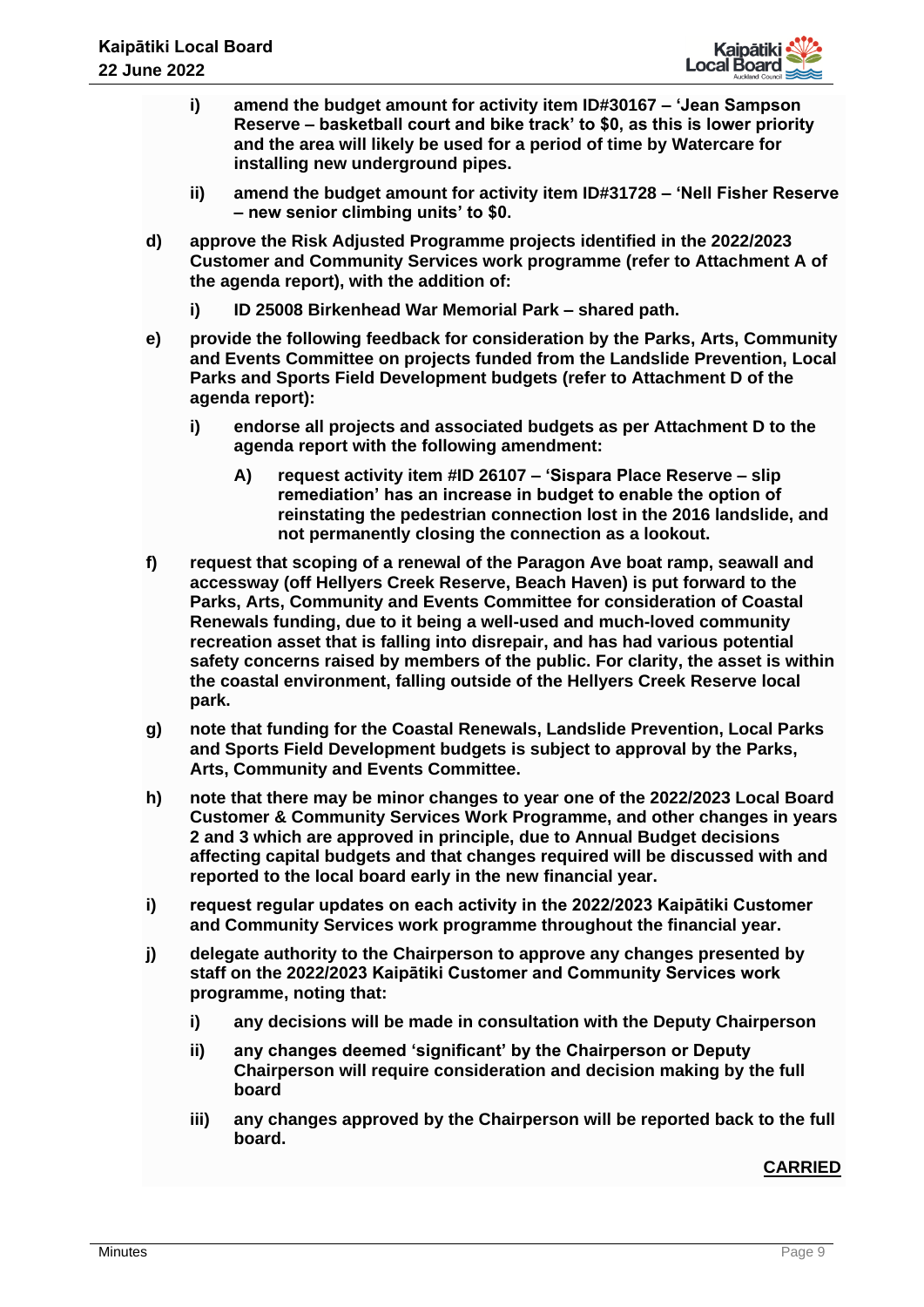

- **i) amend the budget amount for activity item ID#30167 – 'Jean Sampson Reserve – basketball court and bike track' to \$0, as this is lower priority and the area will likely be used for a period of time by Watercare for installing new underground pipes.**
- **ii) amend the budget amount for activity item ID#31728 – 'Nell Fisher Reserve – new senior climbing units' to \$0.**
- **d) approve the Risk Adjusted Programme projects identified in the 2022/2023 Customer and Community Services work programme (refer to Attachment A of the agenda report), with the addition of:**
	- **i) ID 25008 Birkenhead War Memorial Park – shared path.**
- **e) provide the following feedback for consideration by the Parks, Arts, Community and Events Committee on projects funded from the Landslide Prevention, Local Parks and Sports Field Development budgets (refer to Attachment D of the agenda report):** 
	- **i) endorse all projects and associated budgets as per Attachment D to the agenda report with the following amendment:**
		- **A) request activity item #ID 26107 – 'Sispara Place Reserve – slip remediation' has an increase in budget to enable the option of reinstating the pedestrian connection lost in the 2016 landslide, and not permanently closing the connection as a lookout.**
- **f) request that scoping of a renewal of the Paragon Ave boat ramp, seawall and accessway (off Hellyers Creek Reserve, Beach Haven) is put forward to the Parks, Arts, Community and Events Committee for consideration of Coastal Renewals funding, due to it being a well-used and much-loved community recreation asset that is falling into disrepair, and has had various potential safety concerns raised by members of the public. For clarity, the asset is within the coastal environment, falling outside of the Hellyers Creek Reserve local park.**
- **g) note that funding for the Coastal Renewals, Landslide Prevention, Local Parks and Sports Field Development budgets is subject to approval by the Parks, Arts, Community and Events Committee.**
- **h) note that there may be minor changes to year one of the 2022/2023 Local Board Customer & Community Services Work Programme, and other changes in years 2 and 3 which are approved in principle, due to Annual Budget decisions affecting capital budgets and that changes required will be discussed with and reported to the local board early in the new financial year.**
- **i) request regular updates on each activity in the 2022/2023 Kaipātiki Customer and Community Services work programme throughout the financial year.**
- **j) delegate authority to the Chairperson to approve any changes presented by staff on the 2022/2023 Kaipātiki Customer and Community Services work programme, noting that:**
	- **i) any decisions will be made in consultation with the Deputy Chairperson**
	- **ii) any changes deemed 'significant' by the Chairperson or Deputy Chairperson will require consideration and decision making by the full board**
	- **iii) any changes approved by the Chairperson will be reported back to the full board.**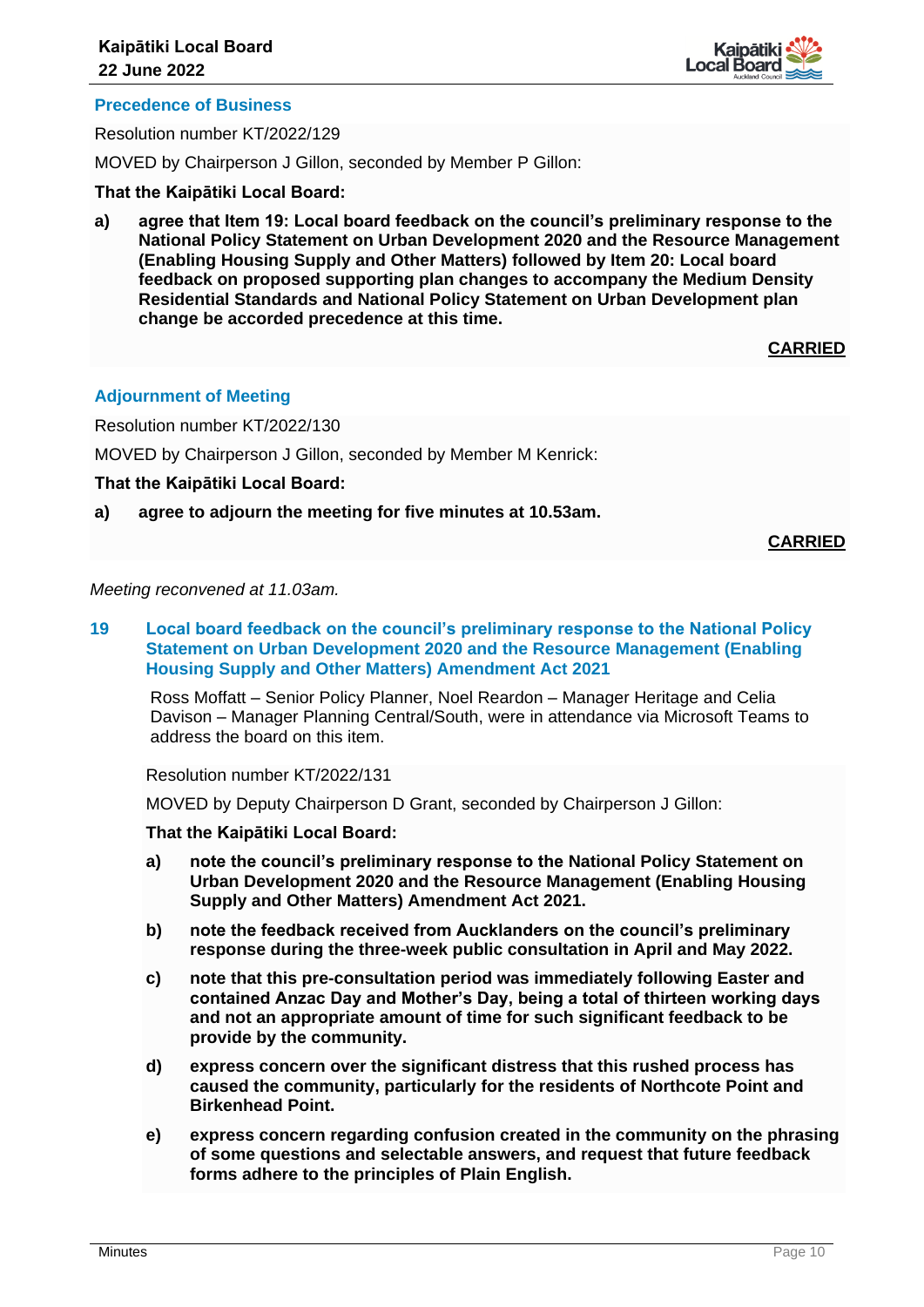

# **Precedence of Business**

Resolution number KT/2022/129

MOVED by Chairperson J Gillon, seconded by Member P Gillon:

**That the Kaipātiki Local Board:**

**a) agree that Item 19: Local board feedback on the council's preliminary response to the National Policy Statement on Urban Development 2020 and the Resource Management (Enabling Housing Supply and Other Matters) followed by Item 20: Local board feedback on proposed supporting plan changes to accompany the Medium Density Residential Standards and National Policy Statement on Urban Development plan change be accorded precedence at this time.**

**CARRIED**

# **Adjournment of Meeting**

Resolution number KT/2022/130

MOVED by Chairperson J Gillon, seconded by Member M Kenrick:

**That the Kaipātiki Local Board:**

**a) agree to adjourn the meeting for five minutes at 10.53am.** 

**CARRIED**

*Meeting reconvened at 11.03am.* 

**19 Local board feedback on the council's preliminary response to the National Policy Statement on Urban Development 2020 and the Resource Management (Enabling Housing Supply and Other Matters) Amendment Act 2021**

Ross Moffatt – Senior Policy Planner, Noel Reardon – Manager Heritage and Celia Davison – Manager Planning Central/South, were in attendance via Microsoft Teams to address the board on this item.

Resolution number KT/2022/131

MOVED by Deputy Chairperson D Grant, seconded by Chairperson J Gillon:

- **a) note the council's preliminary response to the National Policy Statement on Urban Development 2020 and the Resource Management (Enabling Housing Supply and Other Matters) Amendment Act 2021.**
- **b) note the feedback received from Aucklanders on the council's preliminary response during the three-week public consultation in April and May 2022.**
- **c) note that this pre-consultation period was immediately following Easter and contained Anzac Day and Mother's Day, being a total of thirteen working days and not an appropriate amount of time for such significant feedback to be provide by the community.**
- **d) express concern over the significant distress that this rushed process has caused the community, particularly for the residents of Northcote Point and Birkenhead Point.**
- **e) express concern regarding confusion created in the community on the phrasing of some questions and selectable answers, and request that future feedback forms adhere to the principles of Plain English.**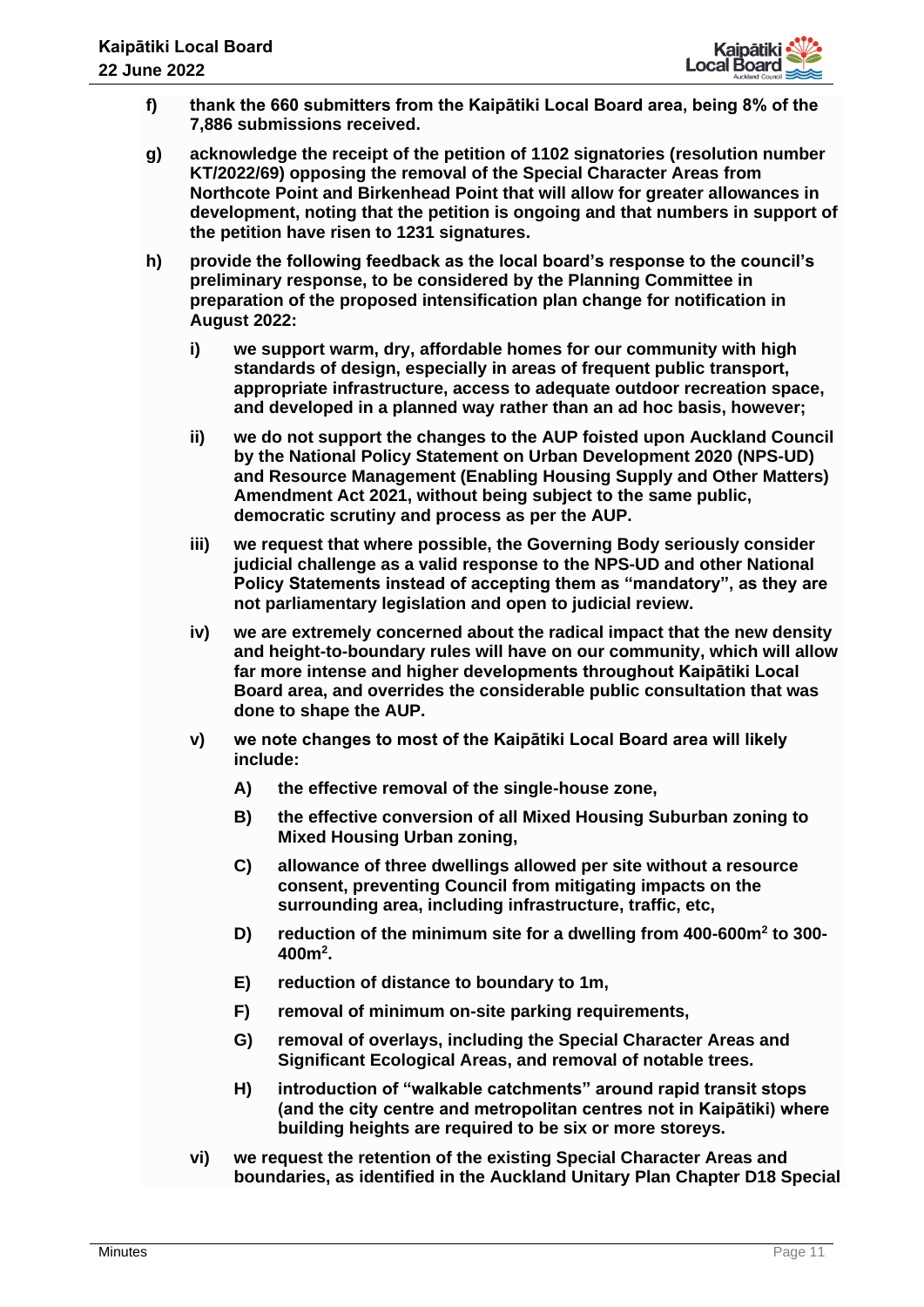

- **f) thank the 660 submitters from the Kaipātiki Local Board area, being 8% of the 7,886 submissions received.**
- **g) acknowledge the receipt of the petition of 1102 signatories (resolution number KT/2022/69) opposing the removal of the Special Character Areas from Northcote Point and Birkenhead Point that will allow for greater allowances in development, noting that the petition is ongoing and that numbers in support of the petition have risen to 1231 signatures.**
- **h) provide the following feedback as the local board's response to the council's preliminary response, to be considered by the Planning Committee in preparation of the proposed intensification plan change for notification in August 2022:**
	- **i) we support warm, dry, affordable homes for our community with high standards of design, especially in areas of frequent public transport, appropriate infrastructure, access to adequate outdoor recreation space, and developed in a planned way rather than an ad hoc basis, however;**
	- **ii) we do not support the changes to the AUP foisted upon Auckland Council by the National Policy Statement on Urban Development 2020 (NPS-UD) and Resource Management (Enabling Housing Supply and Other Matters) Amendment Act 2021, without being subject to the same public, democratic scrutiny and process as per the AUP.**
	- **iii) we request that where possible, the Governing Body seriously consider judicial challenge as a valid response to the NPS-UD and other National Policy Statements instead of accepting them as "mandatory", as they are not parliamentary legislation and open to judicial review.**
	- **iv) we are extremely concerned about the radical impact that the new density and height-to-boundary rules will have on our community, which will allow far more intense and higher developments throughout Kaipātiki Local Board area, and overrides the considerable public consultation that was done to shape the AUP.**
	- **v) we note changes to most of the Kaipātiki Local Board area will likely include:**
		- **A) the effective removal of the single-house zone,**
		- **B) the effective conversion of all Mixed Housing Suburban zoning to Mixed Housing Urban zoning,**
		- **C) allowance of three dwellings allowed per site without a resource consent, preventing Council from mitigating impacts on the surrounding area, including infrastructure, traffic, etc,**
		- **D) reduction of the minimum site for a dwelling from 400-600m<sup>2</sup> to 300- 400m<sup>2</sup> .**
		- **E) reduction of distance to boundary to 1m,**
		- **F) removal of minimum on-site parking requirements,**
		- **G) removal of overlays, including the Special Character Areas and Significant Ecological Areas, and removal of notable trees.**
		- **H) introduction of "walkable catchments" around rapid transit stops (and the city centre and metropolitan centres not in Kaipātiki) where building heights are required to be six or more storeys.**
	- **vi) we request the retention of the existing Special Character Areas and boundaries, as identified in the Auckland Unitary Plan Chapter D18 Special**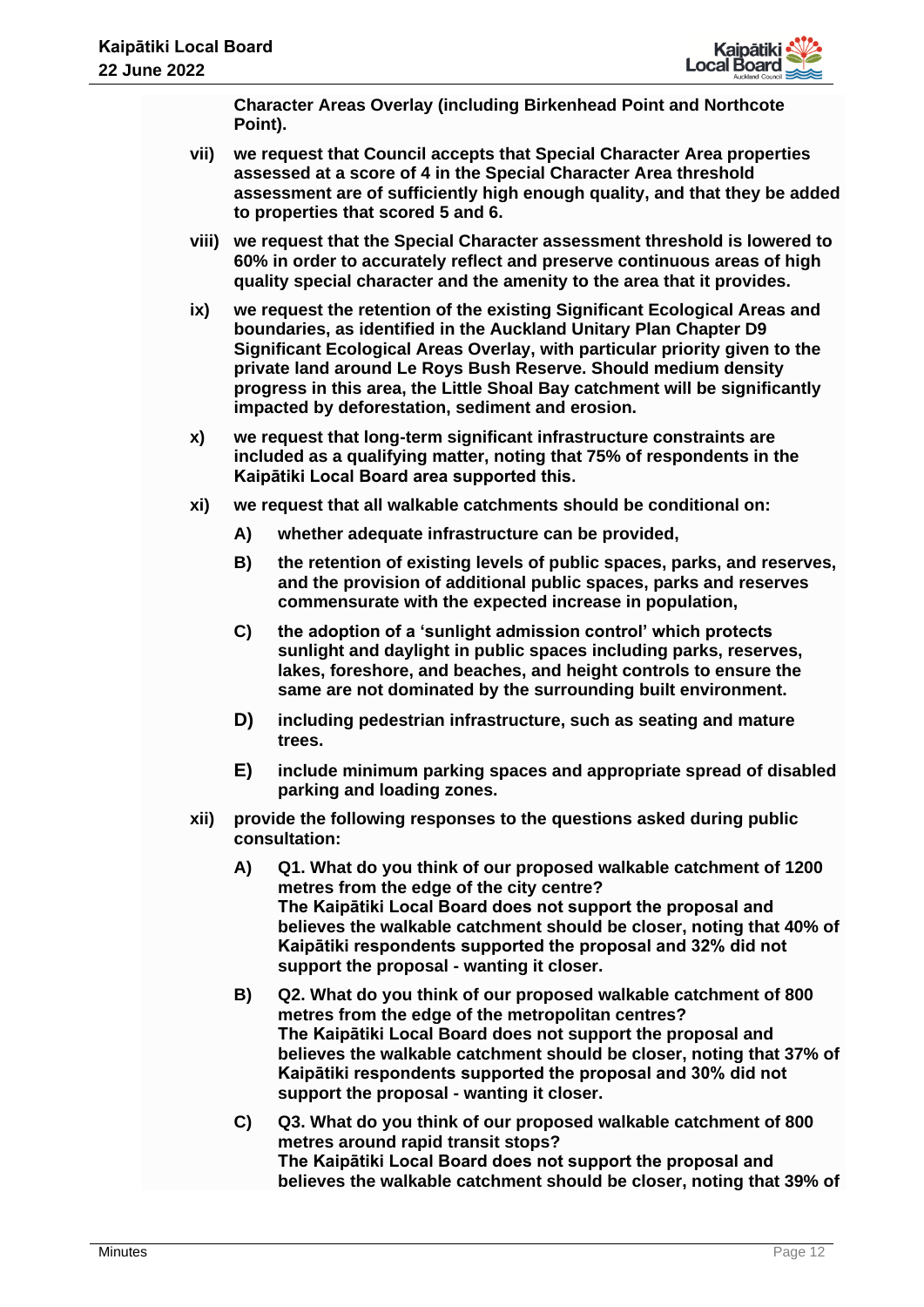

**Character Areas Overlay (including Birkenhead Point and Northcote Point).**

- **vii) we request that Council accepts that Special Character Area properties assessed at a score of 4 in the Special Character Area threshold assessment are of sufficiently high enough quality, and that they be added to properties that scored 5 and 6.**
- **viii) we request that the Special Character assessment threshold is lowered to 60% in order to accurately reflect and preserve continuous areas of high quality special character and the amenity to the area that it provides.**
- **ix) we request the retention of the existing Significant Ecological Areas and boundaries, as identified in the Auckland Unitary Plan Chapter D9 Significant Ecological Areas Overlay, with particular priority given to the private land around Le Roys Bush Reserve. Should medium density progress in this area, the Little Shoal Bay catchment will be significantly impacted by deforestation, sediment and erosion.**
- **x) we request that long-term significant infrastructure constraints are included as a qualifying matter, noting that 75% of respondents in the Kaipātiki Local Board area supported this.**
- **xi) we request that all walkable catchments should be conditional on:**
	- **A) whether adequate infrastructure can be provided,**
	- **B) the retention of existing levels of public spaces, parks, and reserves, and the provision of additional public spaces, parks and reserves commensurate with the expected increase in population,**
	- **C) the adoption of a 'sunlight admission control' which protects sunlight and daylight in public spaces including parks, reserves, lakes, foreshore, and beaches, and height controls to ensure the same are not dominated by the surrounding built environment.**
	- **D) including pedestrian infrastructure, such as seating and mature trees.**
	- **E) include minimum parking spaces and appropriate spread of disabled parking and loading zones.**
- **xii) provide the following responses to the questions asked during public consultation:**
	- **A) Q1. What do you think of our proposed walkable catchment of 1200 metres from the edge of the city centre? The Kaipātiki Local Board does not support the proposal and believes the walkable catchment should be closer, noting that 40% of Kaipātiki respondents supported the proposal and 32% did not support the proposal - wanting it closer.**
	- **B) Q2. What do you think of our proposed walkable catchment of 800 metres from the edge of the metropolitan centres? The Kaipātiki Local Board does not support the proposal and believes the walkable catchment should be closer, noting that 37% of Kaipātiki respondents supported the proposal and 30% did not support the proposal - wanting it closer.**
	- **C) Q3. What do you think of our proposed walkable catchment of 800 metres around rapid transit stops? The Kaipātiki Local Board does not support the proposal and believes the walkable catchment should be closer, noting that 39% of**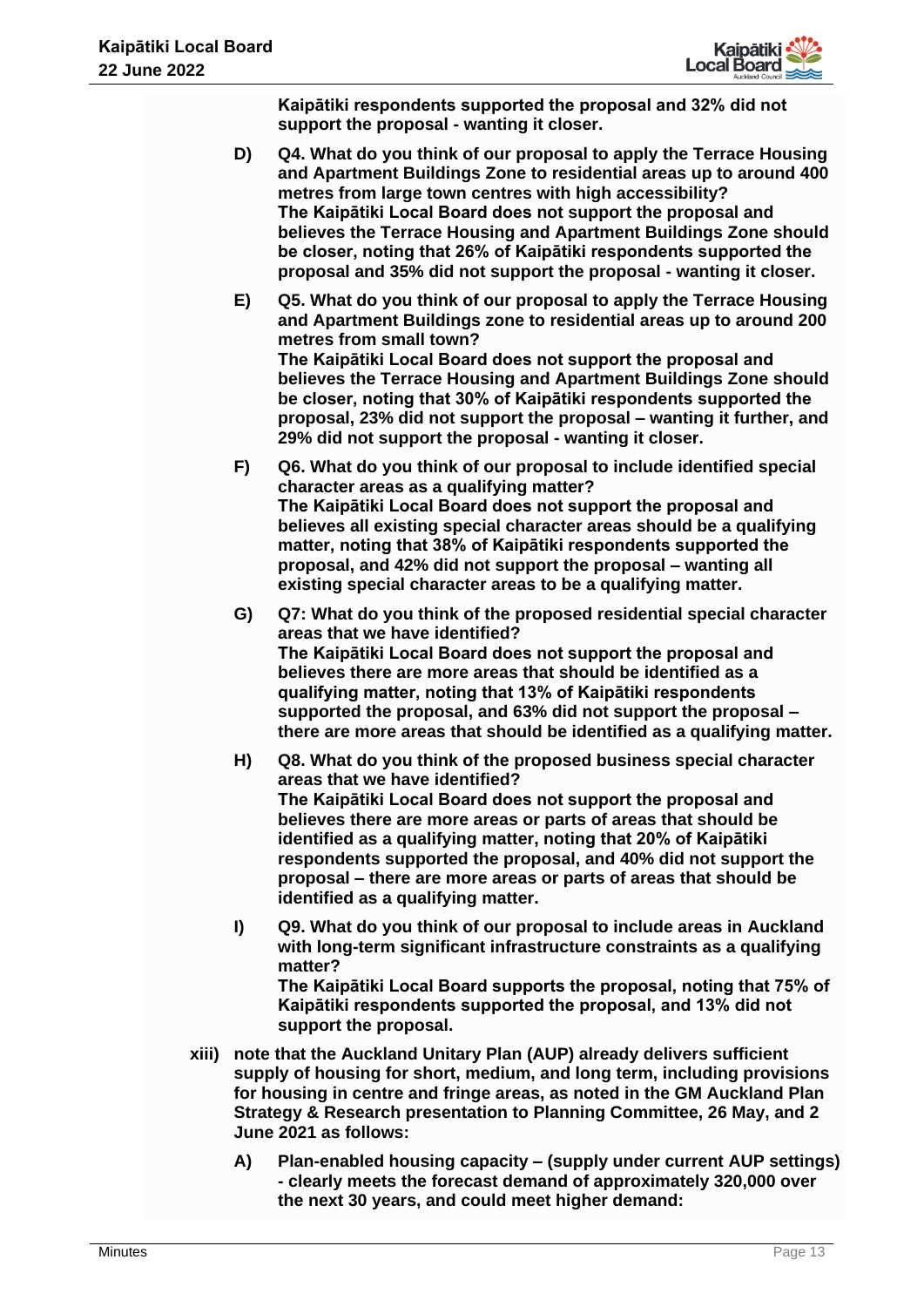

**Kaipātiki respondents supported the proposal and 32% did not support the proposal - wanting it closer.**

- **D) Q4. What do you think of our proposal to apply the Terrace Housing and Apartment Buildings Zone to residential areas up to around 400 metres from large town centres with high accessibility? The Kaipātiki Local Board does not support the proposal and believes the Terrace Housing and Apartment Buildings Zone should be closer, noting that 26% of Kaipātiki respondents supported the proposal and 35% did not support the proposal - wanting it closer.**
- **E) Q5. What do you think of our proposal to apply the Terrace Housing and Apartment Buildings zone to residential areas up to around 200 metres from small town? The Kaipātiki Local Board does not support the proposal and believes the Terrace Housing and Apartment Buildings Zone should be closer, noting that 30% of Kaipātiki respondents supported the proposal, 23% did not support the proposal – wanting it further, and 29% did not support the proposal - wanting it closer.**
- **F) Q6. What do you think of our proposal to include identified special character areas as a qualifying matter? The Kaipātiki Local Board does not support the proposal and believes all existing special character areas should be a qualifying matter, noting that 38% of Kaipātiki respondents supported the proposal, and 42% did not support the proposal – wanting all existing special character areas to be a qualifying matter.**
- **G) Q7: What do you think of the proposed residential special character areas that we have identified? The Kaipātiki Local Board does not support the proposal and believes there are more areas that should be identified as a qualifying matter, noting that 13% of Kaipātiki respondents supported the proposal, and 63% did not support the proposal – there are more areas that should be identified as a qualifying matter.**
- **H) Q8. What do you think of the proposed business special character areas that we have identified? The Kaipātiki Local Board does not support the proposal and believes there are more areas or parts of areas that should be identified as a qualifying matter, noting that 20% of Kaipātiki respondents supported the proposal, and 40% did not support the proposal – there are more areas or parts of areas that should be identified as a qualifying matter.**
- **I) Q9. What do you think of our proposal to include areas in Auckland with long-term significant infrastructure constraints as a qualifying matter? The Kaipātiki Local Board supports the proposal, noting that 75% of Kaipātiki respondents supported the proposal, and 13% did not support the proposal.**
- **xiii) note that the Auckland Unitary Plan (AUP) already delivers sufficient supply of housing for short, medium, and long term, including provisions for housing in centre and fringe areas, as noted in the GM Auckland Plan Strategy & Research presentation to Planning Committee, 26 May, and 2 June 2021 as follows:**
	- **A) Plan-enabled housing capacity – (supply under current AUP settings) - clearly meets the forecast demand of approximately 320,000 over the next 30 years, and could meet higher demand:**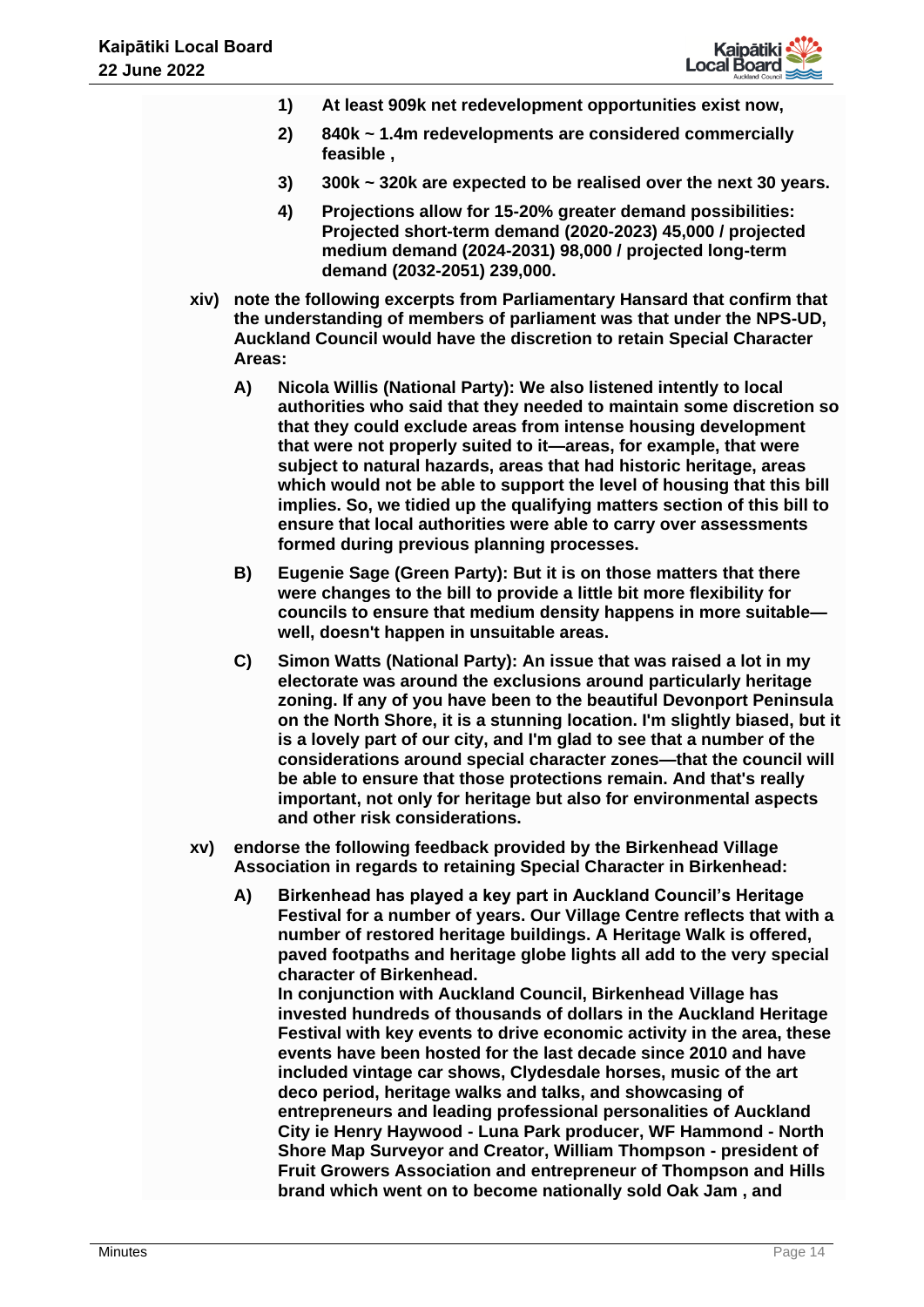

- **1) At least 909k net redevelopment opportunities exist now,**
- **2) 840k ~ 1.4m redevelopments are considered commercially feasible ,**
- **3) 300k ~ 320k are expected to be realised over the next 30 years.**
- **4) Projections allow for 15-20% greater demand possibilities: Projected short-term demand (2020-2023) 45,000 / projected medium demand (2024-2031) 98,000 / projected long-term demand (2032-2051) 239,000.**
- **xiv) note the following excerpts from Parliamentary Hansard that confirm that the understanding of members of parliament was that under the NPS-UD, Auckland Council would have the discretion to retain Special Character Areas:**
	- **A) Nicola Willis (National Party): We also listened intently to local authorities who said that they needed to maintain some discretion so that they could exclude areas from intense housing development that were not properly suited to it—areas, for example, that were subject to natural hazards, areas that had historic heritage, areas which would not be able to support the level of housing that this bill implies. So, we tidied up the qualifying matters section of this bill to ensure that local authorities were able to carry over assessments formed during previous planning processes.**
	- **B) Eugenie Sage (Green Party): But it is on those matters that there were changes to the bill to provide a little bit more flexibility for councils to ensure that medium density happens in more suitable well, doesn't happen in unsuitable areas.**
	- **C) Simon Watts (National Party): An issue that was raised a lot in my electorate was around the exclusions around particularly heritage zoning. If any of you have been to the beautiful Devonport Peninsula on the North Shore, it is a stunning location. I'm slightly biased, but it is a lovely part of our city, and I'm glad to see that a number of the considerations around special character zones—that the council will be able to ensure that those protections remain. And that's really important, not only for heritage but also for environmental aspects and other risk considerations.**
- **xv) endorse the following feedback provided by the Birkenhead Village Association in regards to retaining Special Character in Birkenhead:** 
	- **A) Birkenhead has played a key part in Auckland Council's Heritage Festival for a number of years. Our Village Centre reflects that with a number of restored heritage buildings. A Heritage Walk is offered, paved footpaths and heritage globe lights all add to the very special character of Birkenhead. In conjunction with Auckland Council, Birkenhead Village has invested hundreds of thousands of dollars in the Auckland Heritage**

**Festival with key events to drive economic activity in the area, these events have been hosted for the last decade since 2010 and have included vintage car shows, Clydesdale horses, music of the art deco period, heritage walks and talks, and showcasing of entrepreneurs and leading professional personalities of Auckland City ie Henry Haywood - Luna Park producer, WF Hammond - North Shore Map Surveyor and Creator, William Thompson - president of Fruit Growers Association and entrepreneur of Thompson and Hills brand which went on to become nationally sold Oak Jam , and**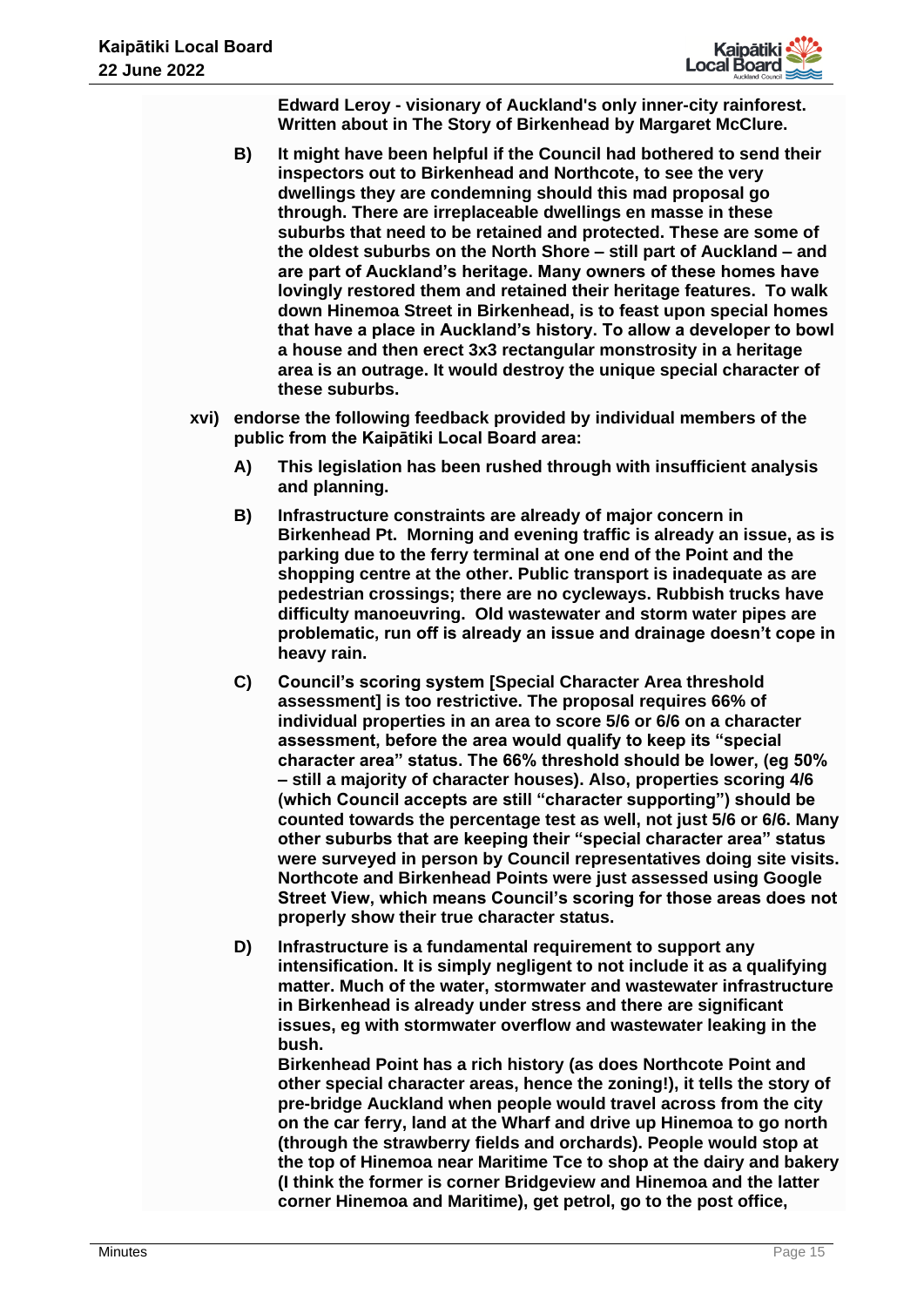

**Edward Leroy - visionary of Auckland's only inner-city rainforest. Written about in The Story of Birkenhead by Margaret McClure.**

- **B) It might have been helpful if the Council had bothered to send their inspectors out to Birkenhead and Northcote, to see the very dwellings they are condemning should this mad proposal go through. There are irreplaceable dwellings en masse in these suburbs that need to be retained and protected. These are some of the oldest suburbs on the North Shore – still part of Auckland – and are part of Auckland's heritage. Many owners of these homes have lovingly restored them and retained their heritage features. To walk down Hinemoa Street in Birkenhead, is to feast upon special homes that have a place in Auckland's history. To allow a developer to bowl a house and then erect 3x3 rectangular monstrosity in a heritage area is an outrage. It would destroy the unique special character of these suburbs.**
- **xvi) endorse the following feedback provided by individual members of the public from the Kaipātiki Local Board area:**
	- **A) This legislation has been rushed through with insufficient analysis and planning.**
	- **B) Infrastructure constraints are already of major concern in Birkenhead Pt. Morning and evening traffic is already an issue, as is parking due to the ferry terminal at one end of the Point and the shopping centre at the other. Public transport is inadequate as are pedestrian crossings; there are no cycleways. Rubbish trucks have difficulty manoeuvring. Old wastewater and storm water pipes are problematic, run off is already an issue and drainage doesn't cope in heavy rain.**
	- **C) Council's scoring system [Special Character Area threshold assessment] is too restrictive. The proposal requires 66% of individual properties in an area to score 5/6 or 6/6 on a character assessment, before the area would qualify to keep its "special character area" status. The 66% threshold should be lower, (eg 50% – still a majority of character houses). Also, properties scoring 4/6 (which Council accepts are still "character supporting") should be counted towards the percentage test as well, not just 5/6 or 6/6. Many other suburbs that are keeping their "special character area" status were surveyed in person by Council representatives doing site visits. Northcote and Birkenhead Points were just assessed using Google Street View, which means Council's scoring for those areas does not properly show their true character status.**
	- **D) Infrastructure is a fundamental requirement to support any intensification. It is simply negligent to not include it as a qualifying matter. Much of the water, stormwater and wastewater infrastructure in Birkenhead is already under stress and there are significant issues, eg with stormwater overflow and wastewater leaking in the bush.**

**Birkenhead Point has a rich history (as does Northcote Point and other special character areas, hence the zoning!), it tells the story of pre-bridge Auckland when people would travel across from the city on the car ferry, land at the Wharf and drive up Hinemoa to go north (through the strawberry fields and orchards). People would stop at the top of Hinemoa near Maritime Tce to shop at the dairy and bakery (I think the former is corner Bridgeview and Hinemoa and the latter corner Hinemoa and Maritime), get petrol, go to the post office,**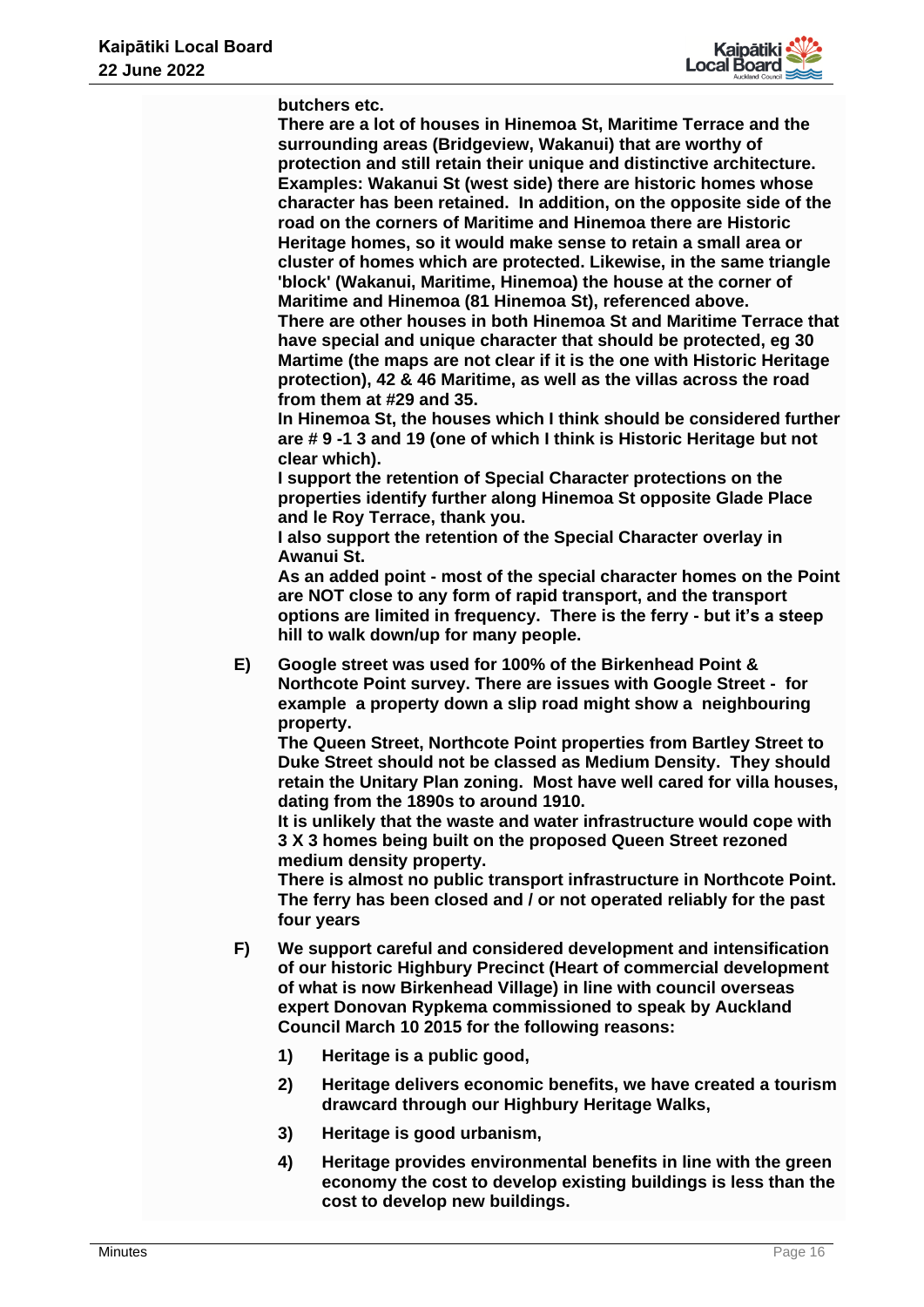

**butchers etc.** 

**There are a lot of houses in Hinemoa St, Maritime Terrace and the surrounding areas (Bridgeview, Wakanui) that are worthy of protection and still retain their unique and distinctive architecture. Examples: Wakanui St (west side) there are historic homes whose character has been retained. In addition, on the opposite side of the road on the corners of Maritime and Hinemoa there are Historic Heritage homes, so it would make sense to retain a small area or cluster of homes which are protected. Likewise, in the same triangle 'block' (Wakanui, Maritime, Hinemoa) the house at the corner of Maritime and Hinemoa (81 Hinemoa St), referenced above. There are other houses in both Hinemoa St and Maritime Terrace that have special and unique character that should be protected, eg 30 Martime (the maps are not clear if it is the one with Historic Heritage protection), 42 & 46 Maritime, as well as the villas across the road from them at #29 and 35.**

**In Hinemoa St, the houses which I think should be considered further are # 9 -1 3 and 19 (one of which I think is Historic Heritage but not clear which).**

**I support the retention of Special Character protections on the properties identify further along Hinemoa St opposite Glade Place and le Roy Terrace, thank you.**

**I also support the retention of the Special Character overlay in Awanui St.**

**As an added point - most of the special character homes on the Point are NOT close to any form of rapid transport, and the transport options are limited in frequency. There is the ferry - but it's a steep hill to walk down/up for many people.**

**E) Google street was used for 100% of the Birkenhead Point & Northcote Point survey. There are issues with Google Street - for example a property down a slip road might show a neighbouring property.**

**The Queen Street, Northcote Point properties from Bartley Street to Duke Street should not be classed as Medium Density. They should retain the Unitary Plan zoning. Most have well cared for villa houses, dating from the 1890s to around 1910.** 

**It is unlikely that the waste and water infrastructure would cope with 3 X 3 homes being built on the proposed Queen Street rezoned medium density property.**

**There is almost no public transport infrastructure in Northcote Point. The ferry has been closed and / or not operated reliably for the past four years**

- **F) We support careful and considered development and intensification of our historic Highbury Precinct (Heart of commercial development of what is now Birkenhead Village) in line with council overseas expert Donovan Rypkema commissioned to speak by Auckland Council March 10 2015 for the following reasons:**
	- **1) Heritage is a public good,**
	- **2) Heritage delivers economic benefits, we have created a tourism drawcard through our Highbury Heritage Walks,**
	- **3) Heritage is good urbanism,**
	- **4) Heritage provides environmental benefits in line with the green economy the cost to develop existing buildings is less than the cost to develop new buildings.**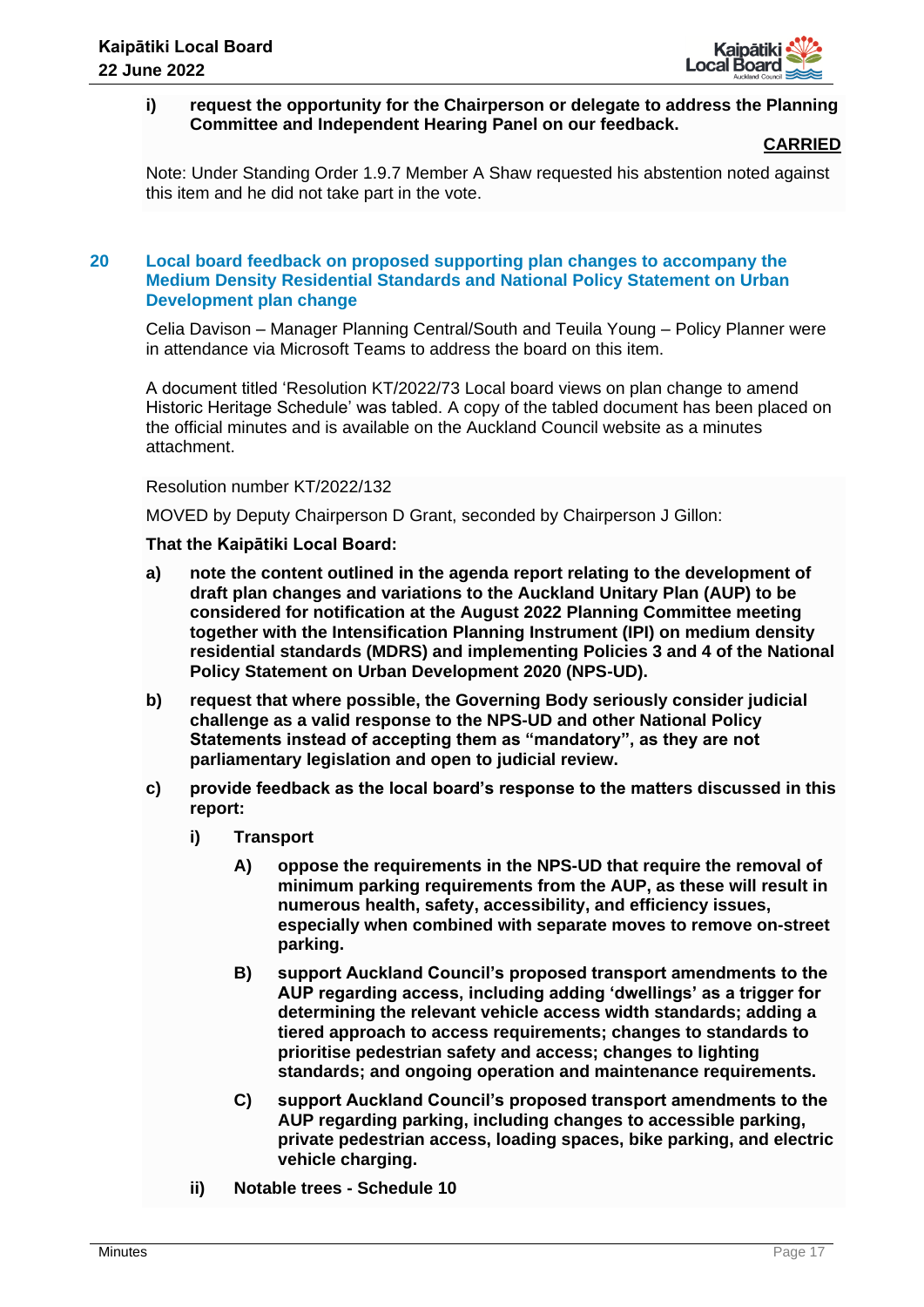

## **i) request the opportunity for the Chairperson or delegate to address the Planning Committee and Independent Hearing Panel on our feedback.**

#### **CARRIED**

Note: Under Standing Order 1.9.7 Member A Shaw requested his abstention noted against this item and he did not take part in the vote.

## **20 Local board feedback on proposed supporting plan changes to accompany the Medium Density Residential Standards and National Policy Statement on Urban Development plan change**

Celia Davison – Manager Planning Central/South and Teuila Young – Policy Planner were in attendance via Microsoft Teams to address the board on this item.

A document titled 'Resolution KT/2022/73 Local board views on plan change to amend Historic Heritage Schedule' was tabled. A copy of the tabled document has been placed on the official minutes and is available on the Auckland Council website as a minutes attachment.

Resolution number KT/2022/132

MOVED by Deputy Chairperson D Grant, seconded by Chairperson J Gillon:

- **a) note the content outlined in the agenda report relating to the development of draft plan changes and variations to the Auckland Unitary Plan (AUP) to be considered for notification at the August 2022 Planning Committee meeting together with the Intensification Planning Instrument (IPI) on medium density residential standards (MDRS) and implementing Policies 3 and 4 of the National Policy Statement on Urban Development 2020 (NPS-UD).**
- **b) request that where possible, the Governing Body seriously consider judicial challenge as a valid response to the NPS-UD and other National Policy Statements instead of accepting them as "mandatory", as they are not parliamentary legislation and open to judicial review.**
- **c) provide feedback as the local board's response to the matters discussed in this report:**
	- **i) Transport** 
		- **A) oppose the requirements in the NPS-UD that require the removal of minimum parking requirements from the AUP, as these will result in numerous health, safety, accessibility, and efficiency issues, especially when combined with separate moves to remove on-street parking.**
		- **B) support Auckland Council's proposed transport amendments to the AUP regarding access, including adding 'dwellings' as a trigger for determining the relevant vehicle access width standards; adding a tiered approach to access requirements; changes to standards to prioritise pedestrian safety and access; changes to lighting standards; and ongoing operation and maintenance requirements.**
		- **C) support Auckland Council's proposed transport amendments to the AUP regarding parking, including changes to accessible parking, private pedestrian access, loading spaces, bike parking, and electric vehicle charging.**
	- **ii) Notable trees - Schedule 10**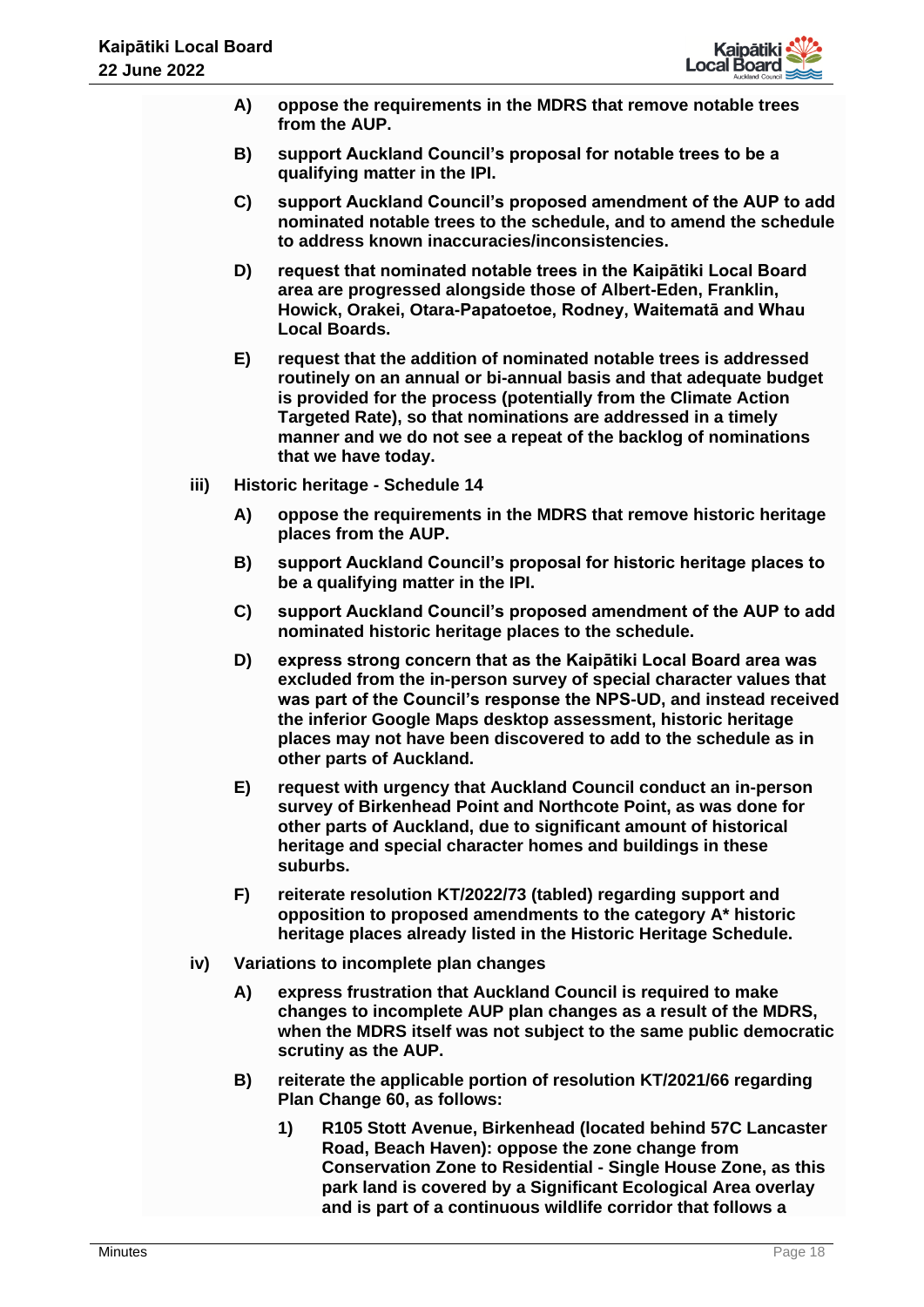

- **A) oppose the requirements in the MDRS that remove notable trees from the AUP.**
- **B) support Auckland Council's proposal for notable trees to be a qualifying matter in the IPI.**
- **C) support Auckland Council's proposed amendment of the AUP to add nominated notable trees to the schedule, and to amend the schedule to address known inaccuracies/inconsistencies.**
- **D) request that nominated notable trees in the Kaipātiki Local Board area are progressed alongside those of Albert-Eden, Franklin, Howick, Orakei, Otara-Papatoetoe, Rodney, Waitematā and Whau Local Boards.**
- **E) request that the addition of nominated notable trees is addressed routinely on an annual or bi-annual basis and that adequate budget is provided for the process (potentially from the Climate Action Targeted Rate), so that nominations are addressed in a timely manner and we do not see a repeat of the backlog of nominations that we have today.**
- **iii) Historic heritage - Schedule 14**
	- **A) oppose the requirements in the MDRS that remove historic heritage places from the AUP.**
	- **B) support Auckland Council's proposal for historic heritage places to be a qualifying matter in the IPI.**
	- **C) support Auckland Council's proposed amendment of the AUP to add nominated historic heritage places to the schedule.**
	- **D) express strong concern that as the Kaipātiki Local Board area was excluded from the in-person survey of special character values that was part of the Council's response the NPS-UD, and instead received the inferior Google Maps desktop assessment, historic heritage places may not have been discovered to add to the schedule as in other parts of Auckland.**
	- **E) request with urgency that Auckland Council conduct an in-person survey of Birkenhead Point and Northcote Point, as was done for other parts of Auckland, due to significant amount of historical heritage and special character homes and buildings in these suburbs.**
	- **F) reiterate resolution KT/2022/73 (tabled) regarding support and opposition to proposed amendments to the category A\* historic heritage places already listed in the Historic Heritage Schedule.**
- **iv) Variations to incomplete plan changes**
	- **A) express frustration that Auckland Council is required to make changes to incomplete AUP plan changes as a result of the MDRS, when the MDRS itself was not subject to the same public democratic scrutiny as the AUP.**
	- **B) reiterate the applicable portion of resolution KT/2021/66 regarding Plan Change 60, as follows:**
		- **1) R105 Stott Avenue, Birkenhead (located behind 57C Lancaster Road, Beach Haven): oppose the zone change from Conservation Zone to Residential - Single House Zone, as this park land is covered by a Significant Ecological Area overlay and is part of a continuous wildlife corridor that follows a**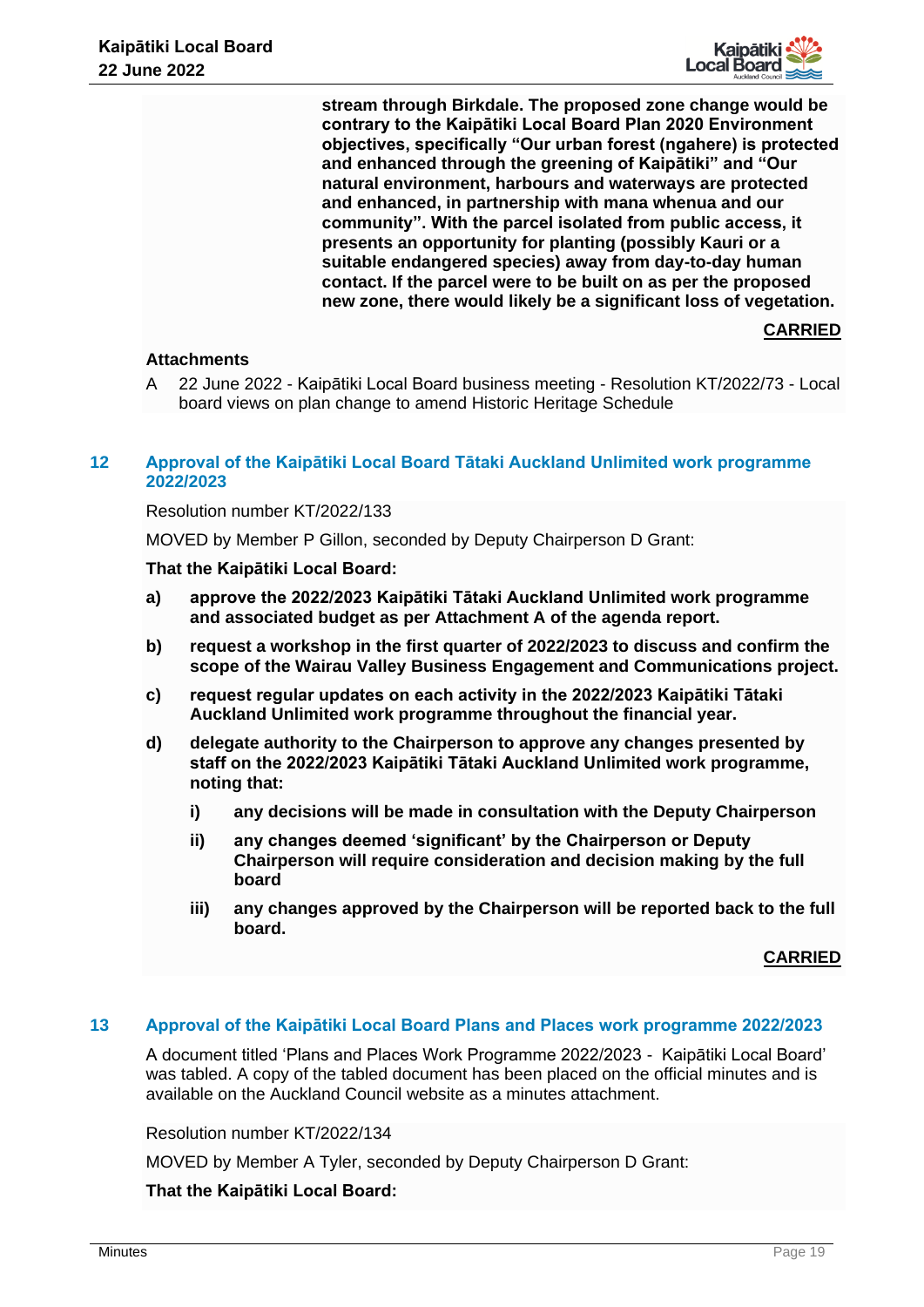

**stream through Birkdale. The proposed zone change would be contrary to the Kaipātiki Local Board Plan 2020 Environment objectives, specifically "Our urban forest (ngahere) is protected and enhanced through the greening of Kaipātiki" and "Our natural environment, harbours and waterways are protected and enhanced, in partnership with mana whenua and our community". With the parcel isolated from public access, it presents an opportunity for planting (possibly Kauri or a suitable endangered species) away from day-to-day human contact. If the parcel were to be built on as per the proposed new zone, there would likely be a significant loss of vegetation.**

# **CARRIED**

# **Attachments**

A 22 June 2022 - Kaipātiki Local Board business meeting - Resolution KT/2022/73 - Local board views on plan change to amend Historic Heritage Schedule

# **12 Approval of the Kaipātiki Local Board Tātaki Auckland Unlimited work programme 2022/2023**

# Resolution number KT/2022/133

MOVED by Member P Gillon, seconded by Deputy Chairperson D Grant:

## **That the Kaipātiki Local Board:**

- **a) approve the 2022/2023 Kaipātiki Tātaki Auckland Unlimited work programme and associated budget as per Attachment A of the agenda report.**
- **b) request a workshop in the first quarter of 2022/2023 to discuss and confirm the scope of the Wairau Valley Business Engagement and Communications project.**
- **c) request regular updates on each activity in the 2022/2023 Kaipātiki Tātaki Auckland Unlimited work programme throughout the financial year.**
- **d) delegate authority to the Chairperson to approve any changes presented by staff on the 2022/2023 Kaipātiki Tātaki Auckland Unlimited work programme, noting that:**
	- **i) any decisions will be made in consultation with the Deputy Chairperson**
	- **ii) any changes deemed 'significant' by the Chairperson or Deputy Chairperson will require consideration and decision making by the full board**
	- **iii) any changes approved by the Chairperson will be reported back to the full board.**

#### **CARRIED**

# **13 Approval of the Kaipātiki Local Board Plans and Places work programme 2022/2023**

A document titled 'Plans and Places Work Programme 2022/2023 - Kaipātiki Local Board' was tabled. A copy of the tabled document has been placed on the official minutes and is available on the Auckland Council website as a minutes attachment.

Resolution number KT/2022/134

MOVED by Member A Tyler, seconded by Deputy Chairperson D Grant: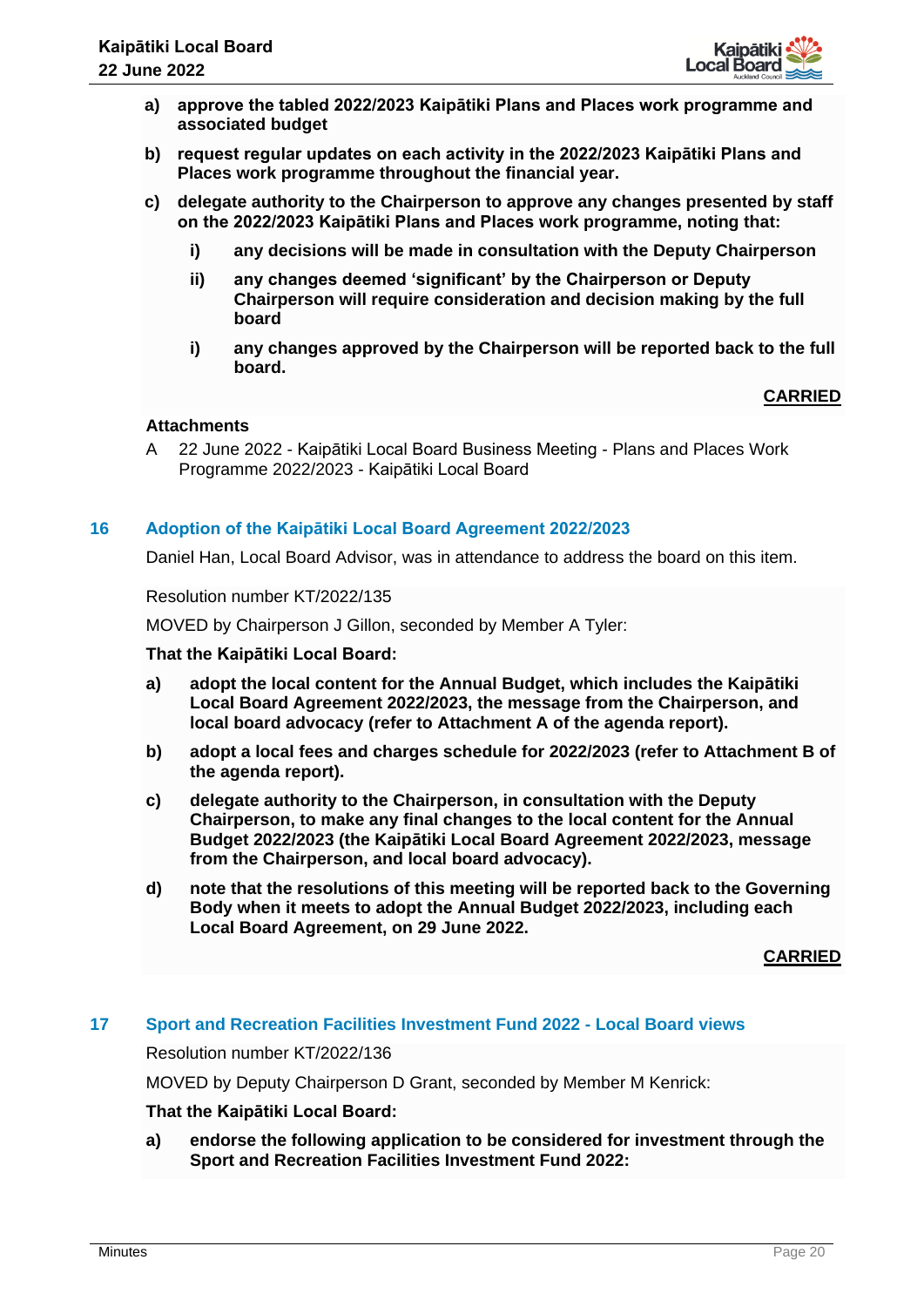

- **a) approve the tabled 2022/2023 Kaipātiki Plans and Places work programme and associated budget**
- **b) request regular updates on each activity in the 2022/2023 Kaipātiki Plans and Places work programme throughout the financial year.**
- **c) delegate authority to the Chairperson to approve any changes presented by staff on the 2022/2023 Kaipātiki Plans and Places work programme, noting that:**
	- **i) any decisions will be made in consultation with the Deputy Chairperson**
	- **ii) any changes deemed 'significant' by the Chairperson or Deputy Chairperson will require consideration and decision making by the full board**
	- **i) any changes approved by the Chairperson will be reported back to the full board.**

## **Attachments**

A 22 June 2022 - Kaipātiki Local Board Business Meeting - Plans and Places Work Programme 2022/2023 - Kaipātiki Local Board

## **16 Adoption of the Kaipātiki Local Board Agreement 2022/2023**

Daniel Han, Local Board Advisor, was in attendance to address the board on this item.

Resolution number KT/2022/135

MOVED by Chairperson J Gillon, seconded by Member A Tyler:

#### **That the Kaipātiki Local Board:**

- **a) adopt the local content for the Annual Budget, which includes the Kaipātiki Local Board Agreement 2022/2023, the message from the Chairperson, and local board advocacy (refer to Attachment A of the agenda report).**
- **b) adopt a local fees and charges schedule for 2022/2023 (refer to Attachment B of the agenda report).**
- **c) delegate authority to the Chairperson, in consultation with the Deputy Chairperson, to make any final changes to the local content for the Annual Budget 2022/2023 (the Kaipātiki Local Board Agreement 2022/2023, message from the Chairperson, and local board advocacy).**
- **d) note that the resolutions of this meeting will be reported back to the Governing Body when it meets to adopt the Annual Budget 2022/2023, including each Local Board Agreement, on 29 June 2022.**

**CARRIED**

#### **17 Sport and Recreation Facilities Investment Fund 2022 - Local Board views**

Resolution number KT/2022/136

MOVED by Deputy Chairperson D Grant, seconded by Member M Kenrick:

#### **That the Kaipātiki Local Board:**

**a) endorse the following application to be considered for investment through the Sport and Recreation Facilities Investment Fund 2022:**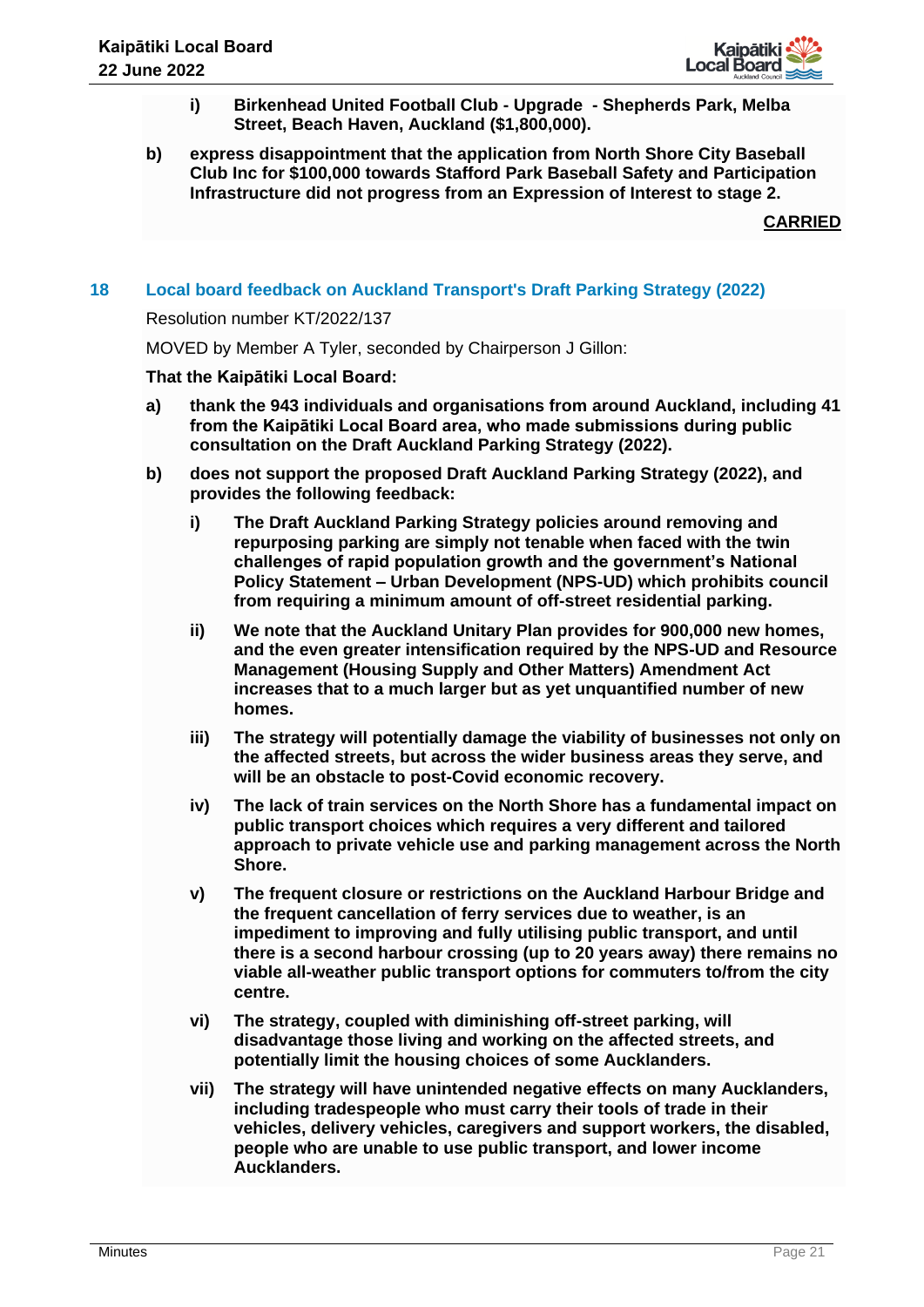

- **i) Birkenhead United Football Club - Upgrade - Shepherds Park, Melba Street, Beach Haven, Auckland (\$1,800,000).**
- **b) express disappointment that the application from North Shore City Baseball Club Inc for \$100,000 towards Stafford Park Baseball Safety and Participation Infrastructure did not progress from an Expression of Interest to stage 2.**

# **18 Local board feedback on Auckland Transport's Draft Parking Strategy (2022)**

Resolution number KT/2022/137

MOVED by Member A Tyler, seconded by Chairperson J Gillon:

- **a) thank the 943 individuals and organisations from around Auckland, including 41 from the Kaipātiki Local Board area, who made submissions during public consultation on the Draft Auckland Parking Strategy (2022).**
- **b) does not support the proposed Draft Auckland Parking Strategy (2022), and provides the following feedback:**
	- **i) The Draft Auckland Parking Strategy policies around removing and repurposing parking are simply not tenable when faced with the twin challenges of rapid population growth and the government's National Policy Statement – Urban Development (NPS-UD) which prohibits council from requiring a minimum amount of off-street residential parking.**
	- **ii) We note that the Auckland Unitary Plan provides for 900,000 new homes, and the even greater intensification required by the NPS-UD and Resource Management (Housing Supply and Other Matters) Amendment Act increases that to a much larger but as yet unquantified number of new homes.**
	- **iii) The strategy will potentially damage the viability of businesses not only on the affected streets, but across the wider business areas they serve, and will be an obstacle to post-Covid economic recovery.**
	- **iv) The lack of train services on the North Shore has a fundamental impact on public transport choices which requires a very different and tailored approach to private vehicle use and parking management across the North Shore.**
	- **v) The frequent closure or restrictions on the Auckland Harbour Bridge and the frequent cancellation of ferry services due to weather, is an impediment to improving and fully utilising public transport, and until there is a second harbour crossing (up to 20 years away) there remains no viable all-weather public transport options for commuters to/from the city centre.**
	- **vi) The strategy, coupled with diminishing off-street parking, will disadvantage those living and working on the affected streets, and potentially limit the housing choices of some Aucklanders.**
	- **vii) The strategy will have unintended negative effects on many Aucklanders, including tradespeople who must carry their tools of trade in their vehicles, delivery vehicles, caregivers and support workers, the disabled, people who are unable to use public transport, and lower income Aucklanders.**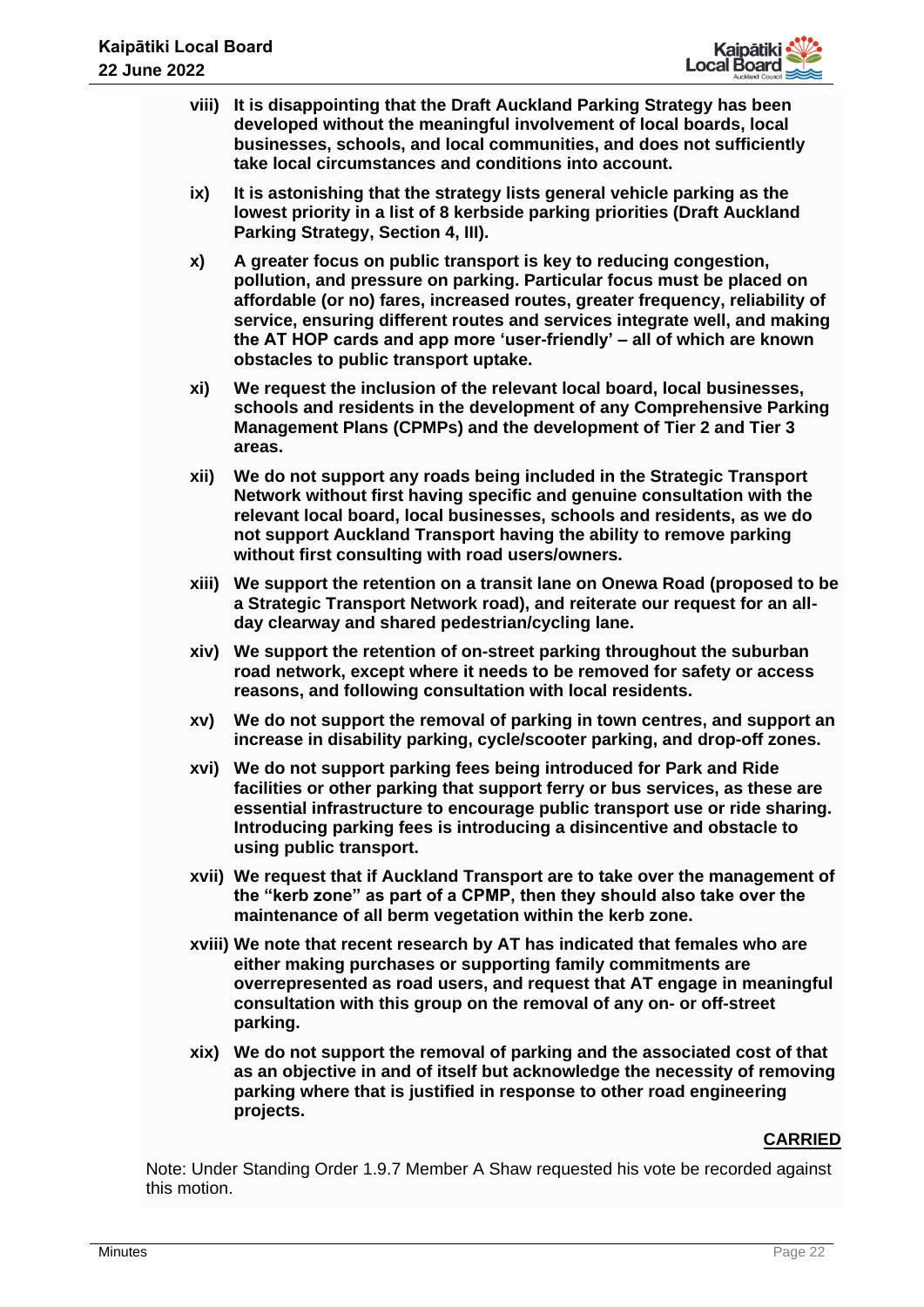

- **viii) It is disappointing that the Draft Auckland Parking Strategy has been developed without the meaningful involvement of local boards, local businesses, schools, and local communities, and does not sufficiently take local circumstances and conditions into account.**
- **ix) It is astonishing that the strategy lists general vehicle parking as the lowest priority in a list of 8 kerbside parking priorities (Draft Auckland Parking Strategy, Section 4, III).**
- **x) A greater focus on public transport is key to reducing congestion, pollution, and pressure on parking. Particular focus must be placed on affordable (or no) fares, increased routes, greater frequency, reliability of service, ensuring different routes and services integrate well, and making the AT HOP cards and app more 'user-friendly' – all of which are known obstacles to public transport uptake.**
- **xi) We request the inclusion of the relevant local board, local businesses, schools and residents in the development of any Comprehensive Parking Management Plans (CPMPs) and the development of Tier 2 and Tier 3 areas.**
- **xii) We do not support any roads being included in the Strategic Transport Network without first having specific and genuine consultation with the relevant local board, local businesses, schools and residents, as we do not support Auckland Transport having the ability to remove parking without first consulting with road users/owners.**
- **xiii) We support the retention on a transit lane on Onewa Road (proposed to be a Strategic Transport Network road), and reiterate our request for an allday clearway and shared pedestrian/cycling lane.**
- **xiv) We support the retention of on-street parking throughout the suburban road network, except where it needs to be removed for safety or access reasons, and following consultation with local residents.**
- **xv) We do not support the removal of parking in town centres, and support an increase in disability parking, cycle/scooter parking, and drop-off zones.**
- **xvi) We do not support parking fees being introduced for Park and Ride facilities or other parking that support ferry or bus services, as these are essential infrastructure to encourage public transport use or ride sharing. Introducing parking fees is introducing a disincentive and obstacle to using public transport.**
- **xvii) We request that if Auckland Transport are to take over the management of the "kerb zone" as part of a CPMP, then they should also take over the maintenance of all berm vegetation within the kerb zone.**
- **xviii) We note that recent research by AT has indicated that females who are either making purchases or supporting family commitments are overrepresented as road users, and request that AT engage in meaningful consultation with this group on the removal of any on- or off-street parking.**
- **xix) We do not support the removal of parking and the associated cost of that as an objective in and of itself but acknowledge the necessity of removing parking where that is justified in response to other road engineering projects.**

Note: Under Standing Order 1.9.7 Member A Shaw requested his vote be recorded against this motion.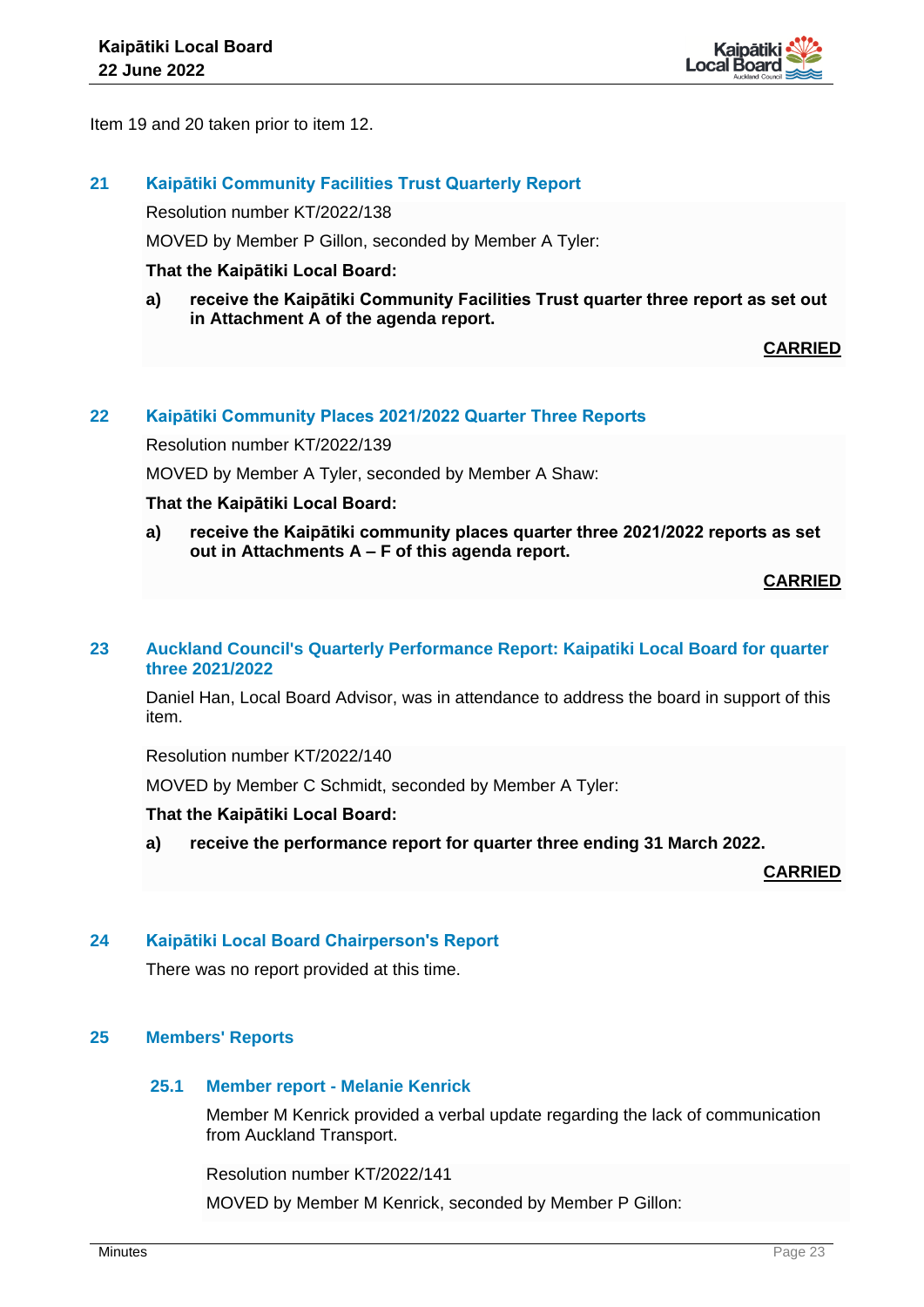

Item 19 and 20 taken prior to item 12.

# **21 Kaipātiki Community Facilities Trust Quarterly Report**

Resolution number KT/2022/138

MOVED by Member P Gillon, seconded by Member A Tyler:

## **That the Kaipātiki Local Board:**

**a) receive the Kaipātiki Community Facilities Trust quarter three report as set out in Attachment A of the agenda report.** 

**CARRIED**

## **22 Kaipātiki Community Places 2021/2022 Quarter Three Reports**

Resolution number KT/2022/139

MOVED by Member A Tyler, seconded by Member A Shaw:

## **That the Kaipātiki Local Board:**

**a) receive the Kaipātiki community places quarter three 2021/2022 reports as set out in Attachments A – F of this agenda report.** 

# **CARRIED**

## **23 Auckland Council's Quarterly Performance Report: Kaipatiki Local Board for quarter three 2021/2022**

Daniel Han, Local Board Advisor, was in attendance to address the board in support of this item.

Resolution number KT/2022/140

MOVED by Member C Schmidt, seconded by Member A Tyler:

#### **That the Kaipātiki Local Board:**

**a) receive the performance report for quarter three ending 31 March 2022.**

**CARRIED**

# **24 Kaipātiki Local Board Chairperson's Report**

There was no report provided at this time.

# **25 Members' Reports**

#### **25.1 Member report - Melanie Kenrick**

Member M Kenrick provided a verbal update regarding the lack of communication from Auckland Transport.

Resolution number KT/2022/141

MOVED by Member M Kenrick, seconded by Member P Gillon: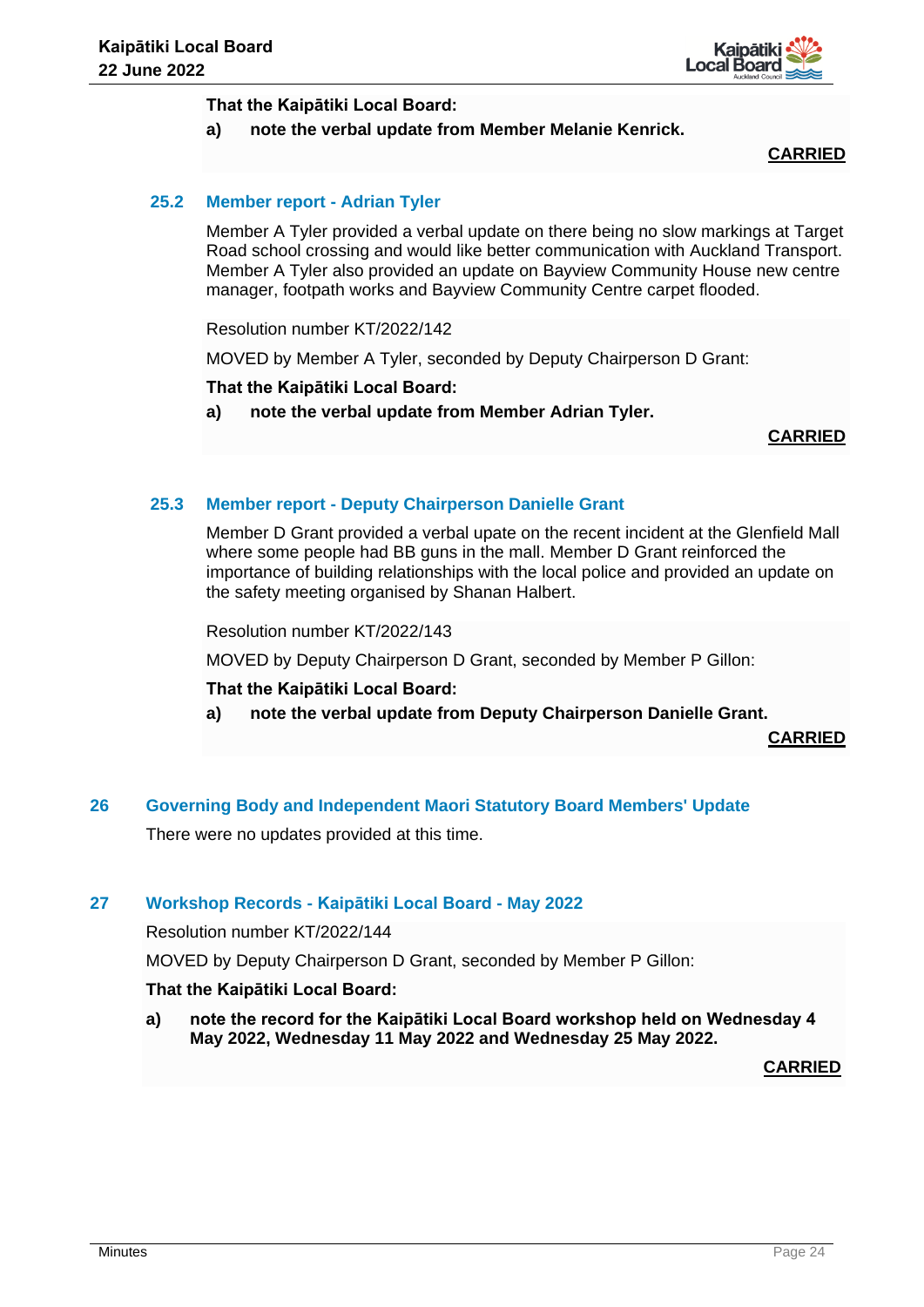

## **That the Kaipātiki Local Board:**

# **a) note the verbal update from Member Melanie Kenrick.**

# **CARRIED**

# **25.2 Member report - Adrian Tyler**

Member A Tyler provided a verbal update on there being no slow markings at Target Road school crossing and would like better communication with Auckland Transport. Member A Tyler also provided an update on Bayview Community House new centre manager, footpath works and Bayview Community Centre carpet flooded.

Resolution number KT/2022/142

MOVED by Member A Tyler, seconded by Deputy Chairperson D Grant:

## **That the Kaipātiki Local Board:**

**a) note the verbal update from Member Adrian Tyler.**

**CARRIED**

# **25.3 Member report - Deputy Chairperson Danielle Grant**

Member D Grant provided a verbal upate on the recent incident at the Glenfield Mall where some people had BB guns in the mall. Member D Grant reinforced the importance of building relationships with the local police and provided an update on the safety meeting organised by Shanan Halbert.

Resolution number KT/2022/143

MOVED by Deputy Chairperson D Grant, seconded by Member P Gillon:

#### **That the Kaipātiki Local Board:**

**a) note the verbal update from Deputy Chairperson Danielle Grant.** 

**CARRIED**

**26 Governing Body and Independent Maori Statutory Board Members' Update**

There were no updates provided at this time.

# **27 Workshop Records - Kaipātiki Local Board - May 2022**

Resolution number KT/2022/144

MOVED by Deputy Chairperson D Grant, seconded by Member P Gillon:

#### **That the Kaipātiki Local Board:**

**a) note the record for the Kaipātiki Local Board workshop held on Wednesday 4 May 2022, Wednesday 11 May 2022 and Wednesday 25 May 2022.** 

**CARRIED**